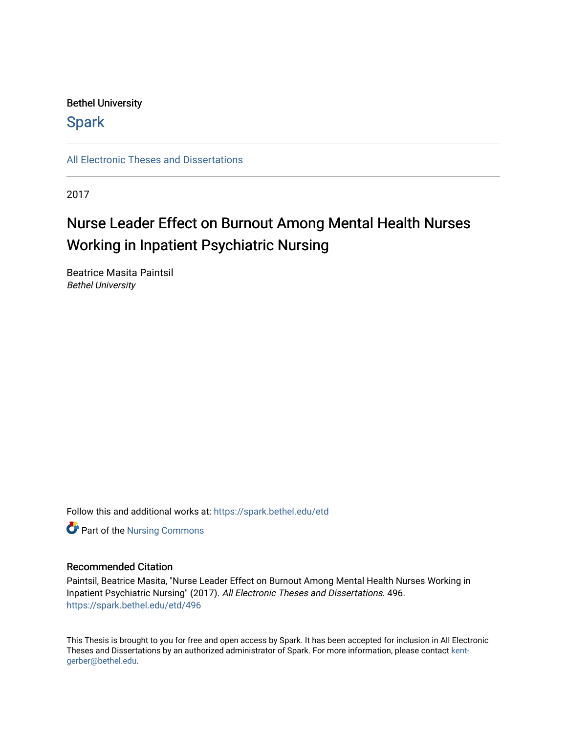# Bethel University

# **Spark**

[All Electronic Theses and Dissertations](https://spark.bethel.edu/etd) 

2017

# Nurse Leader Effect on Burnout Among Mental Health Nurses Working in Inpatient Psychiatric Nursing

Beatrice Masita Paintsil Bethel University

Follow this and additional works at: [https://spark.bethel.edu/etd](https://spark.bethel.edu/etd?utm_source=spark.bethel.edu%2Fetd%2F496&utm_medium=PDF&utm_campaign=PDFCoverPages)

**Part of the Nursing Commons** 

#### Recommended Citation

Paintsil, Beatrice Masita, "Nurse Leader Effect on Burnout Among Mental Health Nurses Working in Inpatient Psychiatric Nursing" (2017). All Electronic Theses and Dissertations. 496. [https://spark.bethel.edu/etd/496](https://spark.bethel.edu/etd/496?utm_source=spark.bethel.edu%2Fetd%2F496&utm_medium=PDF&utm_campaign=PDFCoverPages)

This Thesis is brought to you for free and open access by Spark. It has been accepted for inclusion in All Electronic Theses and Dissertations by an authorized administrator of Spark. For more information, please contact [kent](mailto:kent-gerber@bethel.edu)[gerber@bethel.edu.](mailto:kent-gerber@bethel.edu)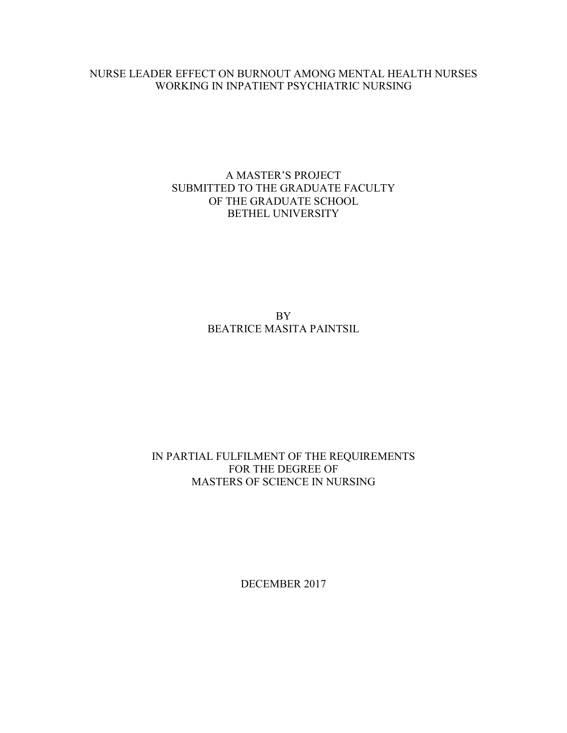#### NURSE LEADER EFFECT ON BURNOUT AMONG MENTAL HEALTH NURSES WORKING IN INPATIENT PSYCHIATRIC NURSING

# A MASTER'S PROJECT SUBMITTED TO THE GRADUATE FACULTY OF THE GRADUATE SCHOOL BETHEL UNIVERSITY

BY BEATRICE MASITA PAINTSIL

# IN PARTIAL FULFILMENT OF THE REQUIREMENTS FOR THE DEGREE OF MASTERS OF SCIENCE IN NURSING

DECEMBER 2017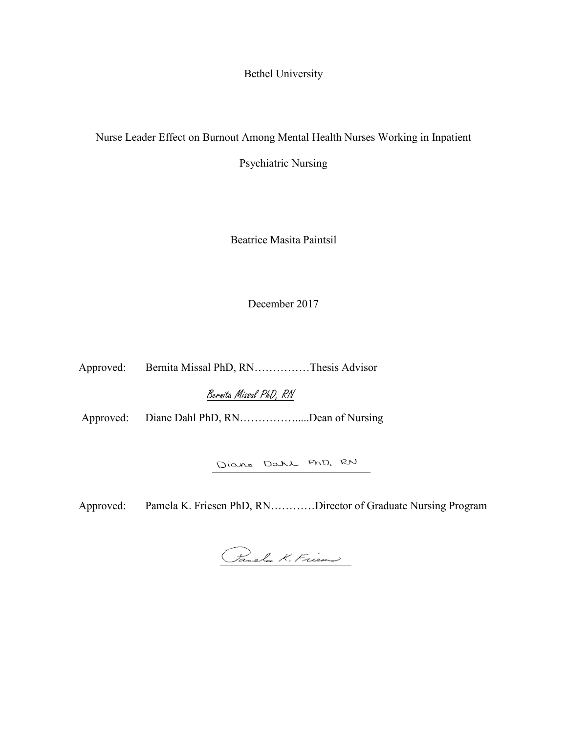Bethel University

Nurse Leader Effect on Burnout Among Mental Health Nurses Working in Inpatient

Psychiatric Nursing

Beatrice Masita Paintsil

December 2017

Approved: Bernita Missal PhD, RN……………Thesis Advisor

Bernita Missal PhD, RN

Approved: Diane Dahl PhD, RN…………….....Dean of Nursing

Diane Dahl PhD, RN

Approved: Pamela K. Friesen PhD, RN…………Director of Graduate Nursing Program

Panel K. Frien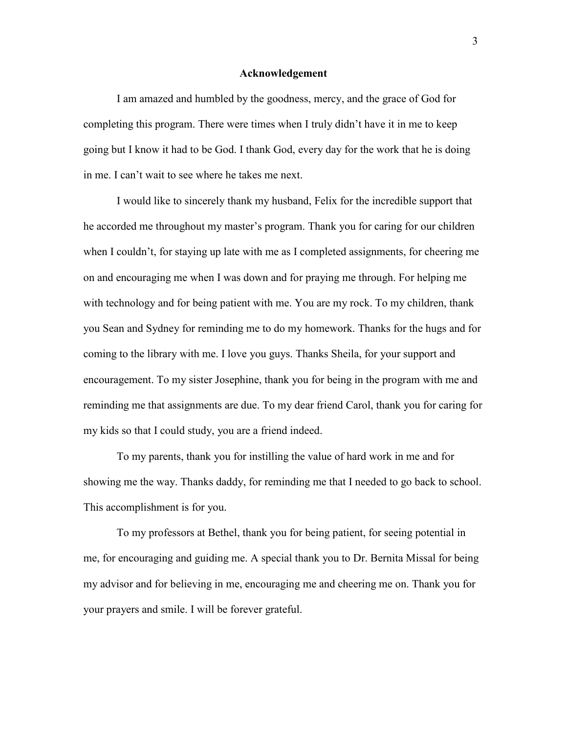#### **Acknowledgement**

<span id="page-3-0"></span>I am amazed and humbled by the goodness, mercy, and the grace of God for completing this program. There were times when I truly didn't have it in me to keep going but I know it had to be God. I thank God, every day for the work that he is doing in me. I can't wait to see where he takes me next.

I would like to sincerely thank my husband, Felix for the incredible support that he accorded me throughout my master's program. Thank you for caring for our children when I couldn't, for staying up late with me as I completed assignments, for cheering me on and encouraging me when I was down and for praying me through. For helping me with technology and for being patient with me. You are my rock. To my children, thank you Sean and Sydney for reminding me to do my homework. Thanks for the hugs and for coming to the library with me. I love you guys. Thanks Sheila, for your support and encouragement. To my sister Josephine, thank you for being in the program with me and reminding me that assignments are due. To my dear friend Carol, thank you for caring for my kids so that I could study, you are a friend indeed.

To my parents, thank you for instilling the value of hard work in me and for showing me the way. Thanks daddy, for reminding me that I needed to go back to school. This accomplishment is for you.

To my professors at Bethel, thank you for being patient, for seeing potential in me, for encouraging and guiding me. A special thank you to Dr. Bernita Missal for being my advisor and for believing in me, encouraging me and cheering me on. Thank you for your prayers and smile. I will be forever grateful.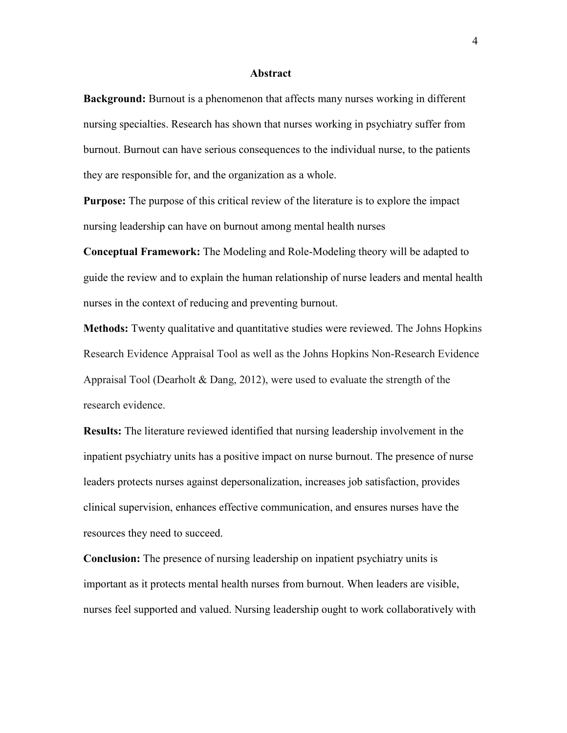#### **Abstract**

<span id="page-4-0"></span>**Background:** Burnout is a phenomenon that affects many nurses working in different nursing specialties. Research has shown that nurses working in psychiatry suffer from burnout. Burnout can have serious consequences to the individual nurse, to the patients they are responsible for, and the organization as a whole.

**Purpose:** The purpose of this critical review of the literature is to explore the impact nursing leadership can have on burnout among mental health nurses

**Conceptual Framework:** The Modeling and Role-Modeling theory will be adapted to guide the review and to explain the human relationship of nurse leaders and mental health nurses in the context of reducing and preventing burnout.

**Methods:** Twenty qualitative and quantitative studies were reviewed. The Johns Hopkins Research Evidence Appraisal Tool as well as the Johns Hopkins Non-Research Evidence Appraisal Tool (Dearholt & Dang, 2012), were used to evaluate the strength of the research evidence.

**Results:** The literature reviewed identified that nursing leadership involvement in the inpatient psychiatry units has a positive impact on nurse burnout. The presence of nurse leaders protects nurses against depersonalization, increases job satisfaction, provides clinical supervision, enhances effective communication, and ensures nurses have the resources they need to succeed.

**Conclusion:** The presence of nursing leadership on inpatient psychiatry units is important as it protects mental health nurses from burnout. When leaders are visible, nurses feel supported and valued. Nursing leadership ought to work collaboratively with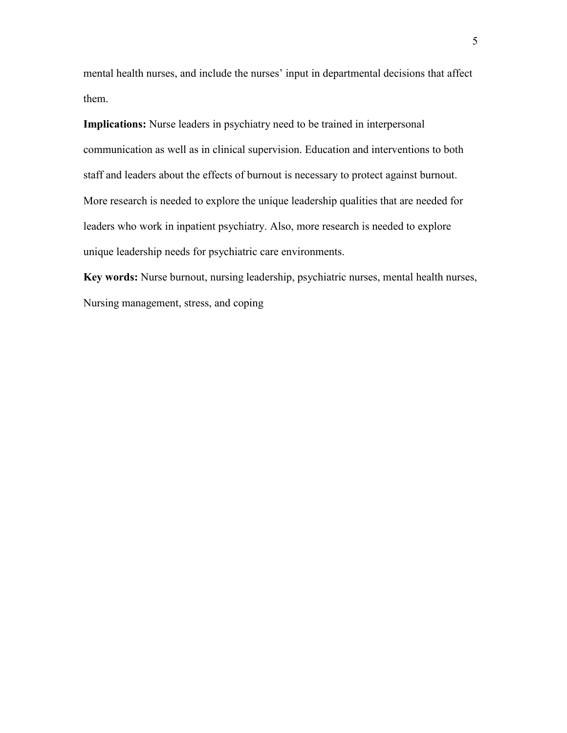mental health nurses, and include the nurses' input in departmental decisions that affect them.

**Implications:** Nurse leaders in psychiatry need to be trained in interpersonal communication as well as in clinical supervision. Education and interventions to both staff and leaders about the effects of burnout is necessary to protect against burnout. More research is needed to explore the unique leadership qualities that are needed for leaders who work in inpatient psychiatry. Also, more research is needed to explore unique leadership needs for psychiatric care environments.

**Key words:** Nurse burnout, nursing leadership, psychiatric nurses, mental health nurses, Nursing management, stress, and coping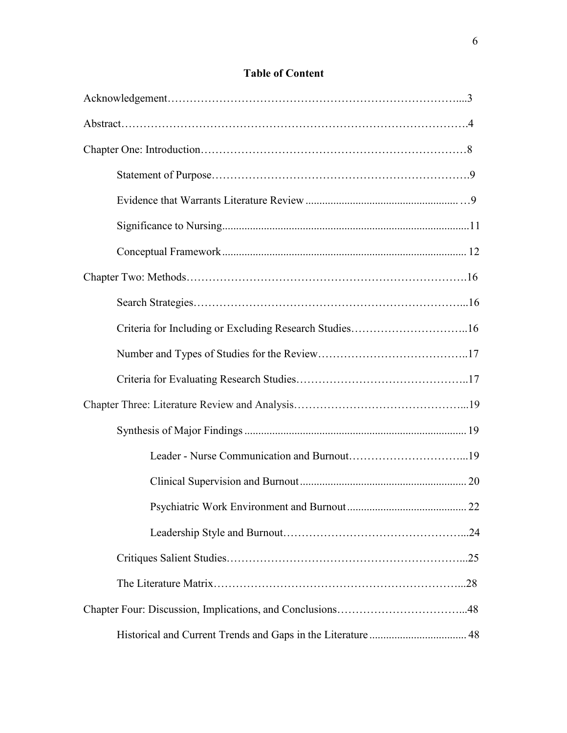# [Acknowledgement……………………………………………………………………....3](#page-3-0) [Abstract………………………………………………………………………………….4](#page-4-0) Chapter [One: Introduction………………………………………………………………8](#page-8-0) [Statement of Purpose…………………………………………………………….9](#page-9-0) Evidence that Warrants Literature [Review....................................................... …9](#page-9-1) Significance to Nursing ......................................................................................... 11 [Conceptual Framework........................................................................................ 12](#page-12-0) Chapter Two: Methods………………………………………………………………….16 [Search Strategies………………………………………………………………...16](#page-16-0) [Criteria for Including or Excluding Research Studies…………………………..16](#page-16-1) [Number and Types of Studies for the Review…………………………………..17](#page-17-0) Criteria for Evaluating [Research Studies………………………………………..17](#page-17-1) Chapter Three: Literature Review and Analysis………………………………………...19 [Synthesis of Major Findings ................................................................................ 19](#page-19-0) [Leader - Nurse Communication and Burnout…………………………...19](#page-19-1) Clinical Supervision [and Burnout ............................................................ 20](#page-20-0) [Psychiatric Work Environment and Burnout ........................................... 22](#page-22-0) [Leadership Style and Burnout…………………………………………...24](#page-24-0) Critiques Salient Studies………………………………………………………...25 The Literature Matrix…………………………………………………………...28

[Chapter Four: Discussion, Implications, and Conclusions……………………………...48](#page-48-0)

Historical and Current Trends and Gaps in the Literature ................................... 48

#### **Table of Content**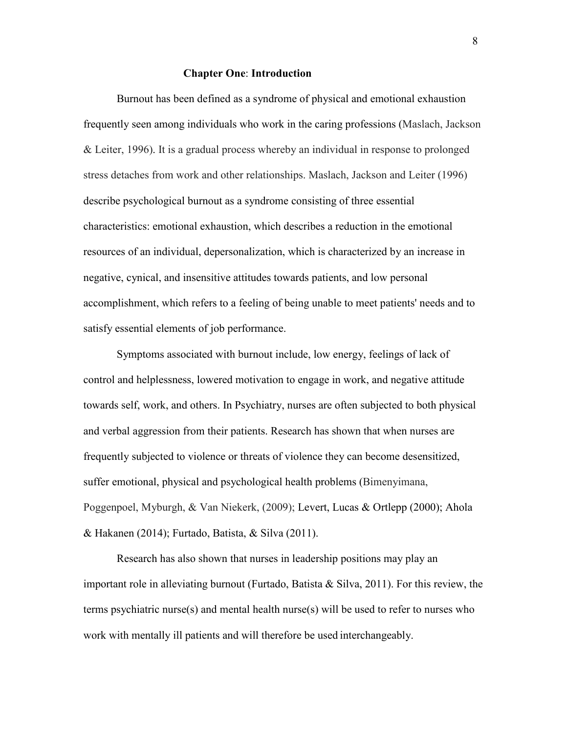#### **Chapter One**: **Introduction**

<span id="page-8-0"></span>Burnout has been defined as a syndrome of physical and emotional exhaustion frequently seen among individuals who work in the caring professions (Maslach, Jackson & Leiter, 1996). It is a gradual process whereby an individual in response to prolonged stress detaches from work and other relationships. Maslach, Jackson and Leiter (1996) describe psychological burnout as a syndrome consisting of three essential characteristics: emotional exhaustion, which describes a reduction in the emotional resources of an individual, depersonalization, which is characterized by an increase in negative, cynical, and insensitive attitudes towards patients, and low personal accomplishment, which refers to a feeling of being unable to meet patients' needs and to satisfy essential elements of job performance.

Symptoms associated with burnout include, low energy, feelings of lack of control and helplessness, lowered motivation to engage in work, and negative attitude towards self, work, and others. In Psychiatry, nurses are often subjected to both physical and verbal aggression from their patients. Research has shown that when nurses are frequently subjected to violence or threats of violence they can become desensitized, suffer emotional, physical and psychological health problems (Bimenyimana, Poggenpoel, Myburgh, & Van Niekerk, (2009); Levert, Lucas & Ortlepp (2000); Ahola & Hakanen (2014); Furtado, Batista, & Silva (2011).

Research has also shown that nurses in leadership positions may play an important role in alleviating burnout (Furtado, Batista  $\&$  Silva, 2011). For this review, the terms psychiatric nurse(s) and mental health nurse(s) will be used to refer to nurses who work with mentally ill patients and will therefore be used interchangeably.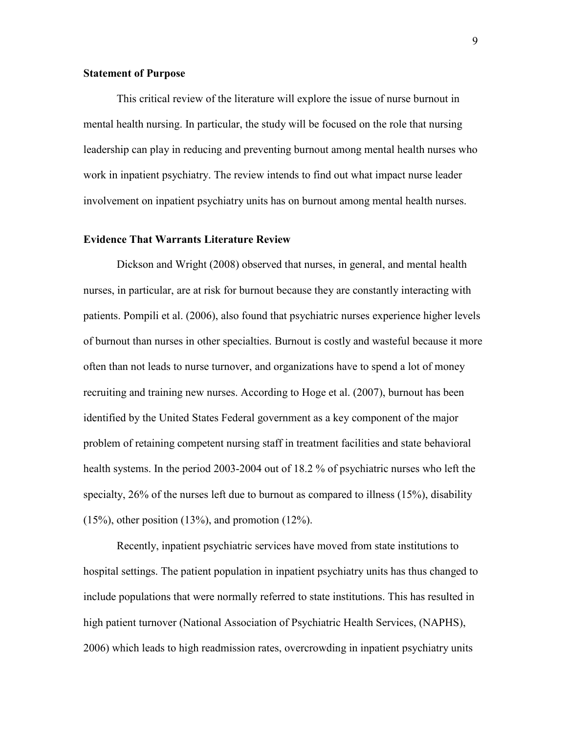#### <span id="page-9-0"></span>**Statement of Purpose**

This critical review of the literature will explore the issue of nurse burnout in mental health nursing. In particular, the study will be focused on the role that nursing leadership can play in reducing and preventing burnout among mental health nurses who work in inpatient psychiatry. The review intends to find out what impact nurse leader involvement on inpatient psychiatry units has on burnout among mental health nurses.

#### <span id="page-9-1"></span>**Evidence That Warrants Literature Review**

Dickson and Wright (2008) observed that nurses, in general, and mental health nurses, in particular, are at risk for burnout because they are constantly interacting with patients. Pompili et al. (2006), also found that psychiatric nurses experience higher levels of burnout than nurses in other specialties. Burnout is costly and wasteful because it more often than not leads to nurse turnover, and organizations have to spend a lot of money recruiting and training new nurses. According to Hoge et al. (2007), burnout has been identified by the United States Federal government as a key component of the major problem of retaining competent nursing staff in treatment facilities and state behavioral health systems. In the period 2003-2004 out of 18.2 % of psychiatric nurses who left the specialty, 26% of the nurses left due to burnout as compared to illness (15%), disability  $(15\%)$ , other position  $(13\%)$ , and promotion  $(12\%)$ .

Recently, inpatient psychiatric services have moved from state institutions to hospital settings. The patient population in inpatient psychiatry units has thus changed to include populations that were normally referred to state institutions. This has resulted in high patient turnover (National Association of Psychiatric Health Services, (NAPHS), 2006) which leads to high readmission rates, overcrowding in inpatient psychiatry units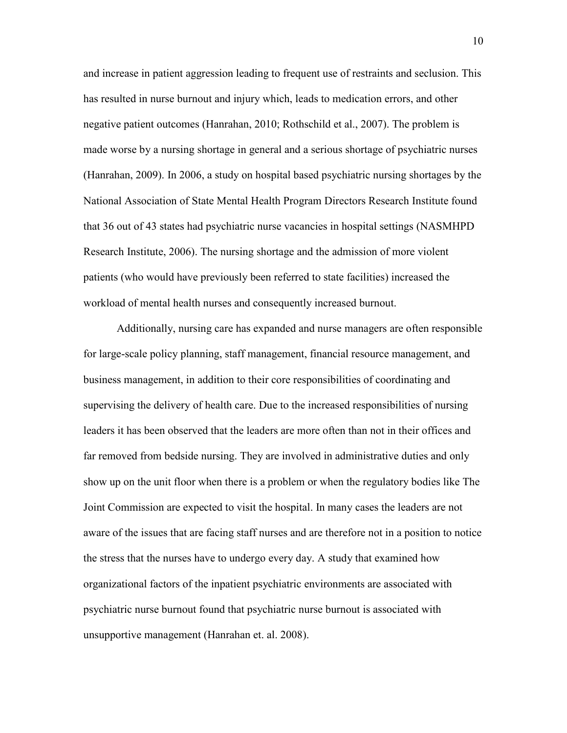and increase in patient aggression leading to frequent use of restraints and seclusion. This has resulted in nurse burnout and injury which, leads to medication errors, and other negative patient outcomes (Hanrahan, 2010; Rothschild et al., 2007). The problem is made worse by a nursing shortage in general and a serious shortage of psychiatric nurses (Hanrahan, 2009). In 2006, a study on hospital based psychiatric nursing shortages by the National Association of State Mental Health Program Directors Research Institute found that 36 out of 43 states had psychiatric nurse vacancies in hospital settings (NASMHPD Research Institute, 2006). The nursing shortage and the admission of more violent patients (who would have previously been referred to state facilities) increased the workload of mental health nurses and consequently increased burnout.

Additionally, nursing care has expanded and nurse managers are often responsible for large-scale policy planning, staff management, financial resource management, and business management, in addition to their core responsibilities of coordinating and supervising the delivery of health care. Due to the increased responsibilities of nursing leaders it has been observed that the leaders are more often than not in their offices and far removed from bedside nursing. They are involved in administrative duties and only show up on the unit floor when there is a problem or when the regulatory bodies like The Joint Commission are expected to visit the hospital. In many cases the leaders are not aware of the issues that are facing staff nurses and are therefore not in a position to notice the stress that the nurses have to undergo every day. A study that examined how organizational factors of the inpatient psychiatric environments are associated with psychiatric nurse burnout found that psychiatric nurse burnout is associated with unsupportive management (Hanrahan et. al. 2008).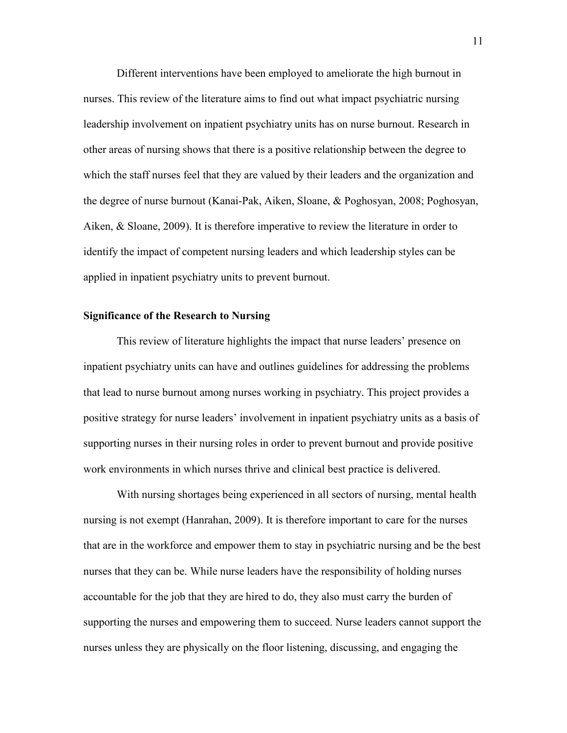Different interventions have been employed to ameliorate the high burnout in nurses. This review of the literature aims to find out what impact psychiatric nursing leadership involvement on inpatient psychiatry units has on nurse burnout. Research in other areas of nursing shows that there is a positive relationship between the degree to which the staff nurses feel that they are valued by their leaders and the organization and the degree of nurse burnout (Kanai-Pak, Aiken, Sloane, & Poghosyan, 2008; Poghosyan, Aiken, & Sloane, 2009). It is therefore imperative to review the literature in order to identify the impact of competent nursing leaders and which leadership styles can be applied in inpatient psychiatry units to prevent burnout.

#### **Significance of the Research to Nursing**

This review of literature highlights the impact that nurse leaders' presence on inpatient psychiatry units can have and outlines guidelines for addressing the problems that lead to nurse burnout among nurses working in psychiatry. This project provides a positive strategy for nurse leaders' involvement in inpatient psychiatry units as a basis of supporting nurses in their nursing roles in order to prevent burnout and provide positive work environments in which nurses thrive and clinical best practice is delivered.

With nursing shortages being experienced in all sectors of nursing, mental health nursing is not exempt (Hanrahan, 2009). It is therefore important to care for the nurses that are in the workforce and empower them to stay in psychiatric nursing and be the best nurses that they can be. While nurse leaders have the responsibility of holding nurses accountable for the job that they are hired to do, they also must carry the burden of supporting the nurses and empowering them to succeed. Nurse leaders cannot support the nurses unless they are physically on the floor listening, discussing, and engaging the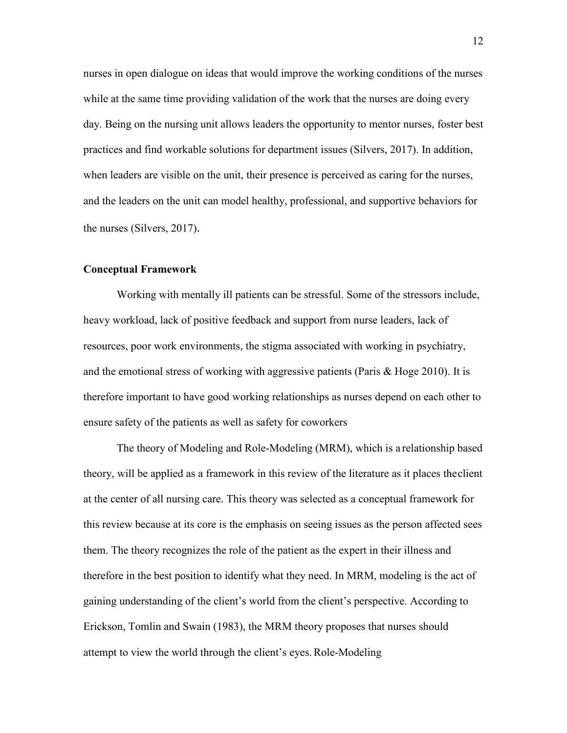nurses in open dialogue on ideas that would improve the working conditions of the nurses while at the same time providing validation of the work that the nurses are doing every day. Being on the nursing unit allows leaders the opportunity to mentor nurses, foster best practices and find workable solutions for department issues (Silvers, 2017). In addition, when leaders are visible on the unit, their presence is perceived as caring for the nurses, and the leaders on the unit can model healthy, professional, and supportive behaviors for the nurses (Silvers, 2017).

#### <span id="page-12-0"></span>**Conceptual Framework**

Working with mentally ill patients can be stressful. Some of the stressors include, heavy workload, lack of positive feedback and support from nurse leaders, lack of resources, poor work environments, the stigma associated with working in psychiatry, and the emotional stress of working with aggressive patients (Paris  $& Hoge 2010$ ). It is therefore important to have good working relationships as nurses depend on each other to ensure safety of the patients as well as safety for coworkers

The theory of Modeling and Role-Modeling (MRM), which is a relationship based theory, will be applied as a framework in this review of the literature as it places theclient at the center of all nursing care. This theory was selected as a conceptual framework for this review because at its core is the emphasis on seeing issues as the person affected sees them. The theory recognizes the role of the patient as the expert in their illness and therefore in the best position to identify what they need. In MRM, modeling is the act of gaining understanding of the client's world from the client's perspective. According to Erickson, Tomlin and Swain (1983), the MRM theory proposes that nurses should attempt to view the world through the client's eyes. Role-Modeling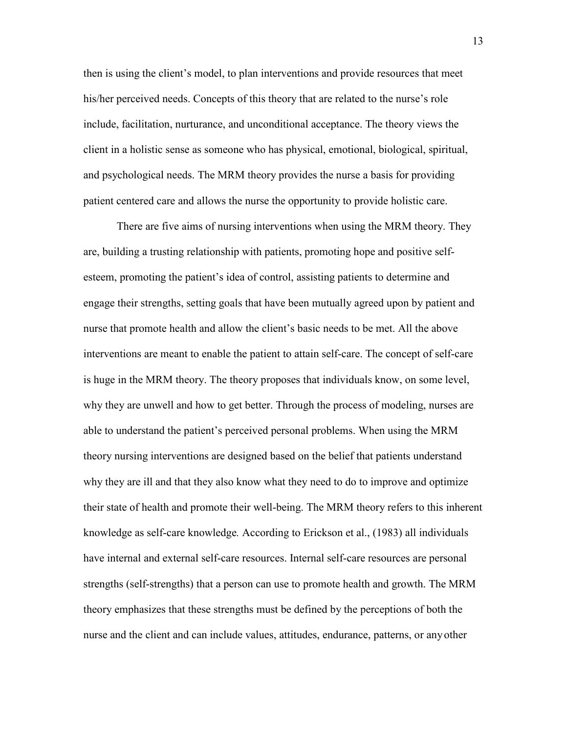then is using the client's model, to plan interventions and provide resources that meet his/her perceived needs. Concepts of this theory that are related to the nurse's role include, facilitation, nurturance, and unconditional acceptance. The theory views the client in a holistic sense as someone who has physical, emotional, biological, spiritual, and psychological needs. The MRM theory provides the nurse a basis for providing patient centered care and allows the nurse the opportunity to provide holistic care.

There are five aims of nursing interventions when using the MRM theory. They are, building a trusting relationship with patients, promoting hope and positive selfesteem, promoting the patient's idea of control, assisting patients to determine and engage their strengths, setting goals that have been mutually agreed upon by patient and nurse that promote health and allow the client's basic needs to be met. All the above interventions are meant to enable the patient to attain self-care. The concept of self-care is huge in the MRM theory. The theory proposes that individuals know, on some level, why they are unwell and how to get better. Through the process of modeling, nurses are able to understand the patient's perceived personal problems. When using the MRM theory nursing interventions are designed based on the belief that patients understand why they are ill and that they also know what they need to do to improve and optimize their state of health and promote their well-being. The MRM theory refers to this inherent knowledge as self-care knowledge*.* According to Erickson et al., (1983) all individuals have internal and external self-care resources. Internal self-care resources are personal strengths (self-strengths) that a person can use to promote health and growth. The MRM theory emphasizes that these strengths must be defined by the perceptions of both the nurse and the client and can include values, attitudes, endurance, patterns, or any other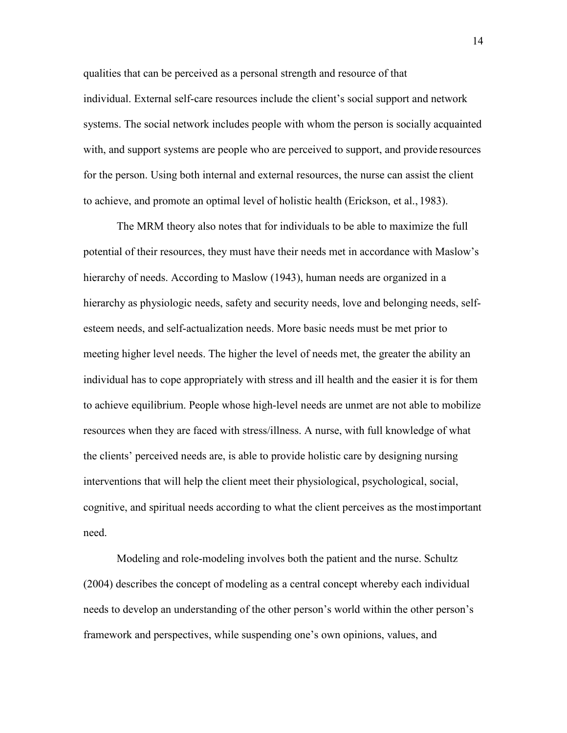qualities that can be perceived as a personal strength and resource of that individual. External self-care resources include the client's social support and network systems. The social network includes people with whom the person is socially acquainted with, and support systems are people who are perceived to support, and provide resources for the person. Using both internal and external resources, the nurse can assist the client to achieve, and promote an optimal level of holistic health (Erickson, et al., 1983).

The MRM theory also notes that for individuals to be able to maximize the full potential of their resources, they must have their needs met in accordance with Maslow's hierarchy of needs. According to Maslow (1943), human needs are organized in a hierarchy as physiologic needs, safety and security needs, love and belonging needs, selfesteem needs, and self-actualization needs. More basic needs must be met prior to meeting higher level needs. The higher the level of needs met, the greater the ability an individual has to cope appropriately with stress and ill health and the easier it is for them to achieve equilibrium. People whose high-level needs are unmet are not able to mobilize resources when they are faced with stress/illness. A nurse, with full knowledge of what the clients' perceived needs are, is able to provide holistic care by designing nursing interventions that will help the client meet their physiological, psychological, social, cognitive, and spiritual needs according to what the client perceives as the mostimportant need.

Modeling and role-modeling involves both the patient and the nurse. Schultz (2004) describes the concept of modeling as a central concept whereby each individual needs to develop an understanding of the other person's world within the other person's framework and perspectives, while suspending one's own opinions, values, and

14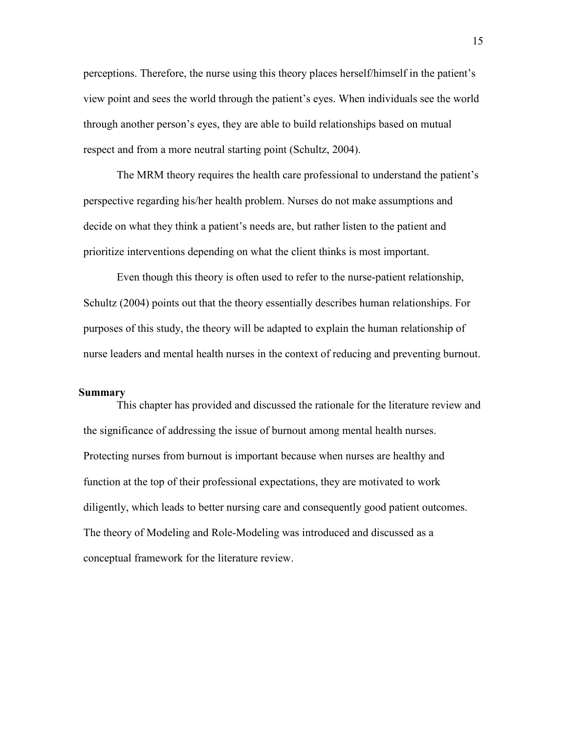perceptions. Therefore, the nurse using this theory places herself/himself in the patient's view point and sees the world through the patient's eyes. When individuals see the world through another person's eyes, they are able to build relationships based on mutual respect and from a more neutral starting point (Schultz, 2004).

The MRM theory requires the health care professional to understand the patient's perspective regarding his/her health problem. Nurses do not make assumptions and decide on what they think a patient's needs are, but rather listen to the patient and prioritize interventions depending on what the client thinks is most important.

Even though this theory is often used to refer to the nurse-patient relationship, Schultz (2004) points out that the theory essentially describes human relationships. For purposes of this study, the theory will be adapted to explain the human relationship of nurse leaders and mental health nurses in the context of reducing and preventing burnout.

#### **Summary**

This chapter has provided and discussed the rationale for the literature review and the significance of addressing the issue of burnout among mental health nurses. Protecting nurses from burnout is important because when nurses are healthy and function at the top of their professional expectations, they are motivated to work diligently, which leads to better nursing care and consequently good patient outcomes. The theory of Modeling and Role-Modeling was introduced and discussed as a conceptual framework for the literature review.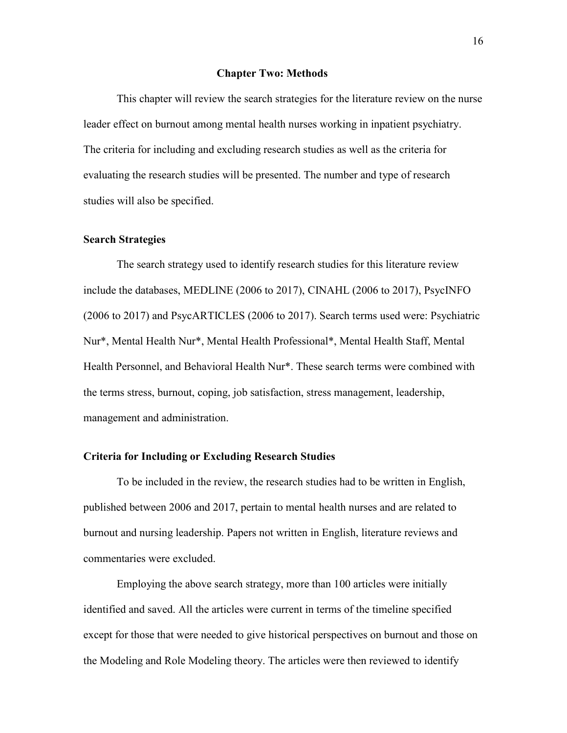#### **Chapter Two: Methods**

This chapter will review the search strategies for the literature review on the nurse leader effect on burnout among mental health nurses working in inpatient psychiatry. The criteria for including and excluding research studies as well as the criteria for evaluating the research studies will be presented. The number and type of research studies will also be specified.

#### <span id="page-16-0"></span>**Search Strategies**

The search strategy used to identify research studies for this literature review include the databases, MEDLINE (2006 to 2017), CINAHL (2006 to 2017), PsycINFO (2006 to 2017) and PsycARTICLES (2006 to 2017). Search terms used were: Psychiatric Nur\*, Mental Health Nur\*, Mental Health Professional\*, Mental Health Staff, Mental Health Personnel, and Behavioral Health Nur\*. These search terms were combined with the terms stress, burnout, coping, job satisfaction, stress management, leadership, management and administration.

#### <span id="page-16-1"></span>**Criteria for Including or Excluding Research Studies**

To be included in the review, the research studies had to be written in English, published between 2006 and 2017, pertain to mental health nurses and are related to burnout and nursing leadership. Papers not written in English, literature reviews and commentaries were excluded.

Employing the above search strategy, more than 100 articles were initially identified and saved. All the articles were current in terms of the timeline specified except for those that were needed to give historical perspectives on burnout and those on the Modeling and Role Modeling theory. The articles were then reviewed to identify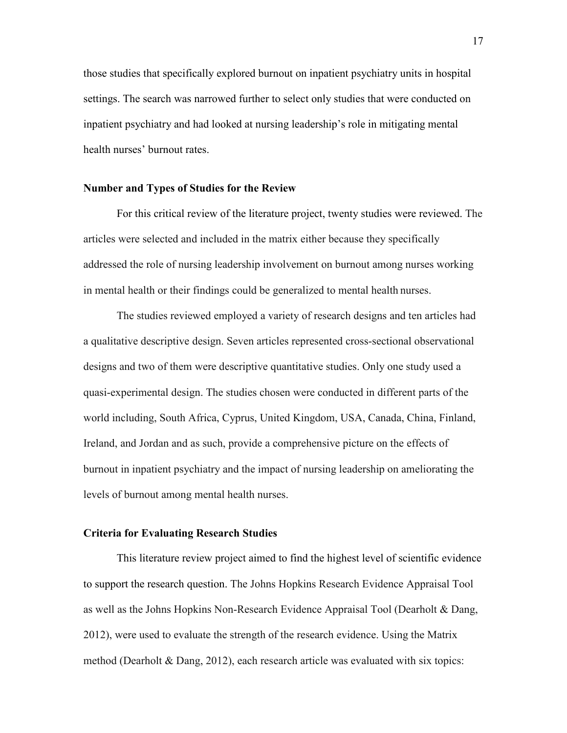those studies that specifically explored burnout on inpatient psychiatry units in hospital settings. The search was narrowed further to select only studies that were conducted on inpatient psychiatry and had looked at nursing leadership's role in mitigating mental health nurses' burnout rates.

#### <span id="page-17-0"></span>**Number and Types of Studies for the Review**

For this critical review of the literature project, twenty studies were reviewed. The articles were selected and included in the matrix either because they specifically addressed the role of nursing leadership involvement on burnout among nurses working in mental health or their findings could be generalized to mental health nurses.

The studies reviewed employed a variety of research designs and ten articles had a qualitative descriptive design. Seven articles represented cross-sectional observational designs and two of them were descriptive quantitative studies. Only one study used a quasi-experimental design. The studies chosen were conducted in different parts of the world including, South Africa, Cyprus, United Kingdom, USA, Canada, China, Finland, Ireland, and Jordan and as such, provide a comprehensive picture on the effects of burnout in inpatient psychiatry and the impact of nursing leadership on ameliorating the levels of burnout among mental health nurses.

#### <span id="page-17-1"></span>**Criteria for Evaluating Research Studies**

This literature review project aimed to find the highest level of scientific evidence to support the research question. The Johns Hopkins Research Evidence Appraisal Tool as well as the Johns Hopkins Non-Research Evidence Appraisal Tool (Dearholt & Dang, 2012), were used to evaluate the strength of the research evidence. Using the Matrix method (Dearholt & Dang, 2012), each research article was evaluated with six topics: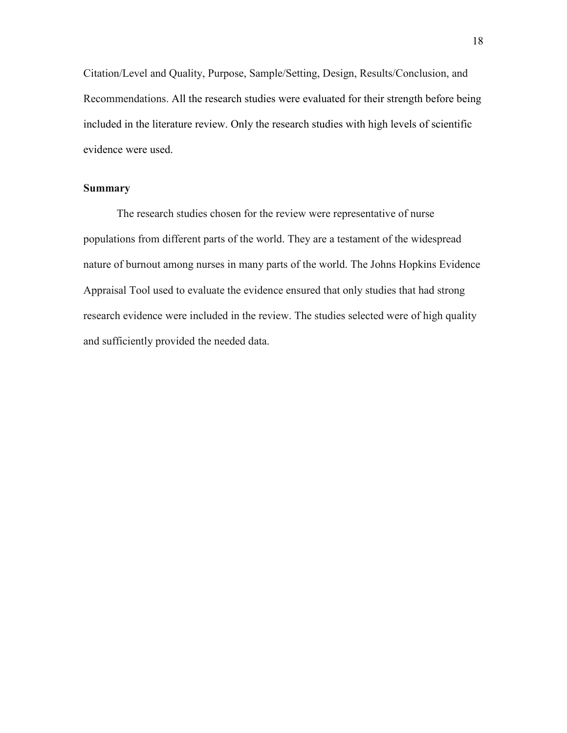Citation/Level and Quality, Purpose, Sample/Setting, Design, Results/Conclusion, and Recommendations. All the research studies were evaluated for their strength before being included in the literature review. Only the research studies with high levels of scientific evidence were used.

#### **Summary**

The research studies chosen for the review were representative of nurse populations from different parts of the world. They are a testament of the widespread nature of burnout among nurses in many parts of the world. The Johns Hopkins Evidence Appraisal Tool used to evaluate the evidence ensured that only studies that had strong research evidence were included in the review. The studies selected were of high quality and sufficiently provided the needed data.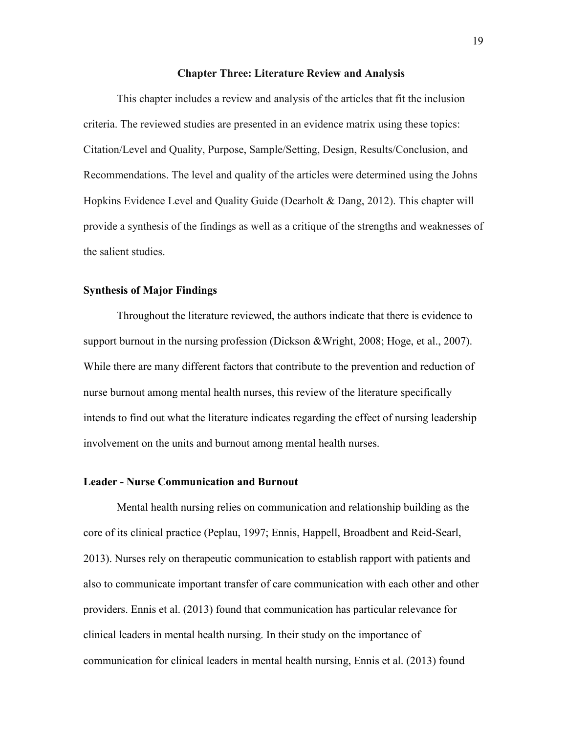#### **Chapter Three: Literature Review and Analysis**

This chapter includes a review and analysis of the articles that fit the inclusion criteria. The reviewed studies are presented in an evidence matrix using these topics: Citation/Level and Quality, Purpose, Sample/Setting, Design, Results/Conclusion, and Recommendations. The level and quality of the articles were determined using the Johns Hopkins Evidence Level and Quality Guide (Dearholt & Dang, 2012). This chapter will provide a synthesis of the findings as well as a critique of the strengths and weaknesses of the salient studies.

#### <span id="page-19-0"></span>**Synthesis of Major Findings**

Throughout the literature reviewed, the authors indicate that there is evidence to support burnout in the nursing profession (Dickson &Wright, 2008; Hoge, et al., 2007). While there are many different factors that contribute to the prevention and reduction of nurse burnout among mental health nurses, this review of the literature specifically intends to find out what the literature indicates regarding the effect of nursing leadership involvement on the units and burnout among mental health nurses.

#### <span id="page-19-1"></span>**Leader - Nurse Communication and Burnout**

Mental health nursing relies on communication and relationship building as the core of its clinical practice (Peplau, 1997; Ennis, Happell, Broadbent and Reid-Searl, 2013). Nurses rely on therapeutic communication to establish rapport with patients and also to communicate important transfer of care communication with each other and other providers. Ennis et al. (2013) found that communication has particular relevance for clinical leaders in mental health nursing. In their study on the importance of communication for clinical leaders in mental health nursing, Ennis et al. (2013) found

19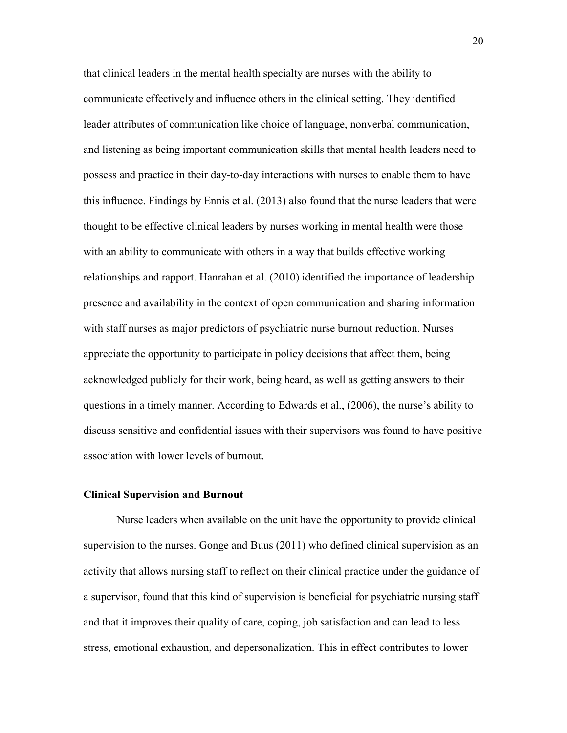that clinical leaders in the mental health specialty are nurses with the ability to communicate effectively and influence others in the clinical setting. They identified leader attributes of communication like choice of language, nonverbal communication, and listening as being important communication skills that mental health leaders need to possess and practice in their day-to-day interactions with nurses to enable them to have this influence. Findings by Ennis et al. (2013) also found that the nurse leaders that were thought to be effective clinical leaders by nurses working in mental health were those with an ability to communicate with others in a way that builds effective working relationships and rapport. Hanrahan et al. (2010) identified the importance of leadership presence and availability in the context of open communication and sharing information with staff nurses as major predictors of psychiatric nurse burnout reduction. Nurses appreciate the opportunity to participate in policy decisions that affect them, being acknowledged publicly for their work, being heard, as well as getting answers to their questions in a timely manner. According to Edwards et al., (2006), the nurse's ability to discuss sensitive and confidential issues with their supervisors was found to have positive association with lower levels of burnout.

#### <span id="page-20-0"></span>**Clinical Supervision and Burnout**

Nurse leaders when available on the unit have the opportunity to provide clinical supervision to the nurses. Gonge and Buus (2011) who defined clinical supervision as an activity that allows nursing staff to reflect on their clinical practice under the guidance of a supervisor, found that this kind of supervision is beneficial for psychiatric nursing staff and that it improves their quality of care, coping, job satisfaction and can lead to less stress, emotional exhaustion, and depersonalization. This in effect contributes to lower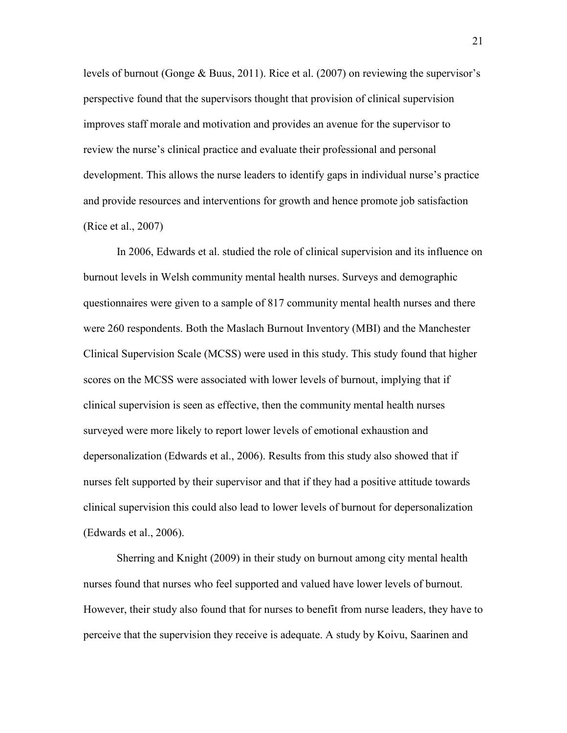levels of burnout (Gonge & Buus, 2011). Rice et al. (2007) on reviewing the supervisor's perspective found that the supervisors thought that provision of clinical supervision improves staff morale and motivation and provides an avenue for the supervisor to review the nurse's clinical practice and evaluate their professional and personal development. This allows the nurse leaders to identify gaps in individual nurse's practice and provide resources and interventions for growth and hence promote job satisfaction (Rice et al., 2007)

In 2006, Edwards et al. studied the role of clinical supervision and its influence on burnout levels in Welsh community mental health nurses. Surveys and demographic questionnaires were given to a sample of 817 community mental health nurses and there were 260 respondents. Both the Maslach Burnout Inventory (MBI) and the Manchester Clinical Supervision Scale (MCSS) were used in this study. This study found that higher scores on the MCSS were associated with lower levels of burnout, implying that if clinical supervision is seen as effective, then the community mental health nurses surveyed were more likely to report lower levels of emotional exhaustion and depersonalization (Edwards et al., 2006). Results from this study also showed that if nurses felt supported by their supervisor and that if they had a positive attitude towards clinical supervision this could also lead to lower levels of burnout for depersonalization (Edwards et al., 2006).

Sherring and Knight (2009) in their study on burnout among city mental health nurses found that nurses who feel supported and valued have lower levels of burnout. However, their study also found that for nurses to benefit from nurse leaders, they have to perceive that the supervision they receive is adequate. A study by Koivu, Saarinen and

21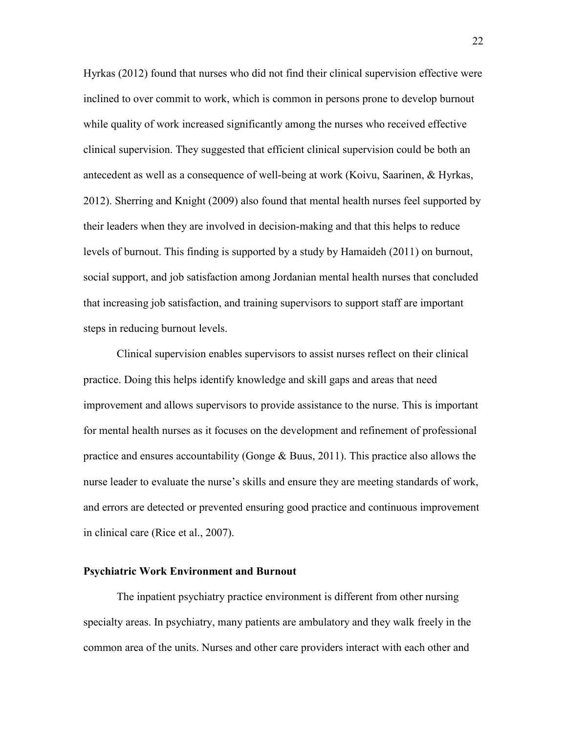Hyrkas (2012) found that nurses who did not find their clinical supervision effective were inclined to over commit to work, which is common in persons prone to develop burnout while quality of work increased significantly among the nurses who received effective clinical supervision. They suggested that efficient clinical supervision could be both an antecedent as well as a consequence of well-being at work (Koivu, Saarinen, & Hyrkas, 2012). Sherring and Knight (2009) also found that mental health nurses feel supported by their leaders when they are involved in decision-making and that this helps to reduce levels of burnout. This finding is supported by a study by Hamaideh (2011) on burnout, social support, and job satisfaction among Jordanian mental health nurses that concluded that increasing job satisfaction, and training supervisors to support staff are important steps in reducing burnout levels.

Clinical supervision enables supervisors to assist nurses reflect on their clinical practice. Doing this helps identify knowledge and skill gaps and areas that need improvement and allows supervisors to provide assistance to the nurse. This is important for mental health nurses as it focuses on the development and refinement of professional practice and ensures accountability (Gonge & Buus, 2011). This practice also allows the nurse leader to evaluate the nurse's skills and ensure they are meeting standards of work, and errors are detected or prevented ensuring good practice and continuous improvement in clinical care (Rice et al., 2007).

#### <span id="page-22-0"></span>**Psychiatric Work Environment and Burnout**

The inpatient psychiatry practice environment is different from other nursing specialty areas. In psychiatry, many patients are ambulatory and they walk freely in the common area of the units. Nurses and other care providers interact with each other and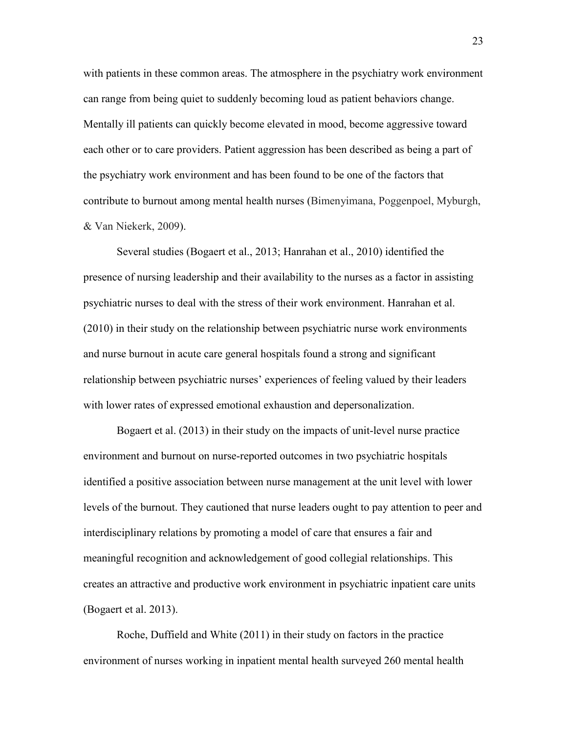with patients in these common areas. The atmosphere in the psychiatry work environment can range from being quiet to suddenly becoming loud as patient behaviors change. Mentally ill patients can quickly become elevated in mood, become aggressive toward each other or to care providers. Patient aggression has been described as being a part of the psychiatry work environment and has been found to be one of the factors that contribute to burnout among mental health nurses (Bimenyimana, Poggenpoel, Myburgh, & Van Niekerk, 2009).

Several studies (Bogaert et al., 2013; Hanrahan et al., 2010) identified the presence of nursing leadership and their availability to the nurses as a factor in assisting psychiatric nurses to deal with the stress of their work environment. Hanrahan et al. (2010) in their study on the relationship between psychiatric nurse work environments and nurse burnout in acute care general hospitals found a strong and significant relationship between psychiatric nurses' experiences of feeling valued by their leaders with lower rates of expressed emotional exhaustion and depersonalization.

Bogaert et al. (2013) in their study on the impacts of unit-level nurse practice environment and burnout on nurse-reported outcomes in two psychiatric hospitals identified a positive association between nurse management at the unit level with lower levels of the burnout. They cautioned that nurse leaders ought to pay attention to peer and interdisciplinary relations by promoting a model of care that ensures a fair and meaningful recognition and acknowledgement of good collegial relationships. This creates an attractive and productive work environment in psychiatric inpatient care units (Bogaert et al. 2013).

Roche, Duffield and White (2011) in their study on factors in the practice environment of nurses working in inpatient mental health surveyed 260 mental health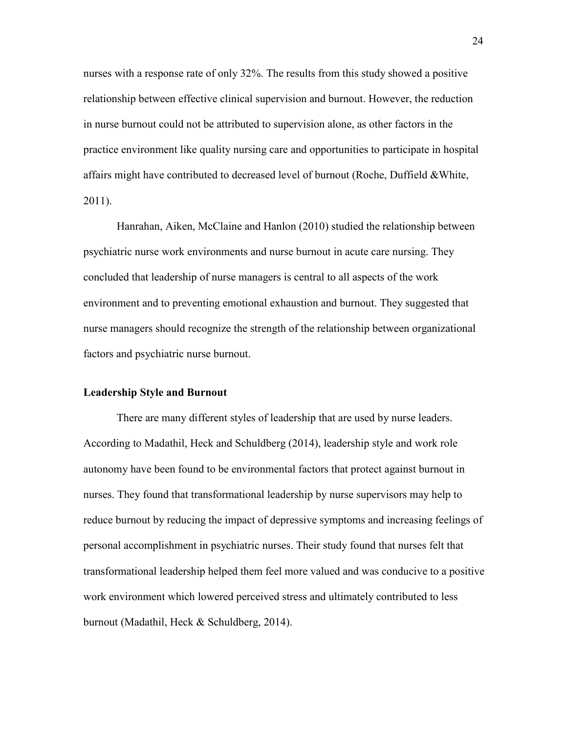nurses with a response rate of only 32%. The results from this study showed a positive relationship between effective clinical supervision and burnout. However, the reduction in nurse burnout could not be attributed to supervision alone, as other factors in the practice environment like quality nursing care and opportunities to participate in hospital affairs might have contributed to decreased level of burnout (Roche, Duffield &White, 2011).

Hanrahan, Aiken, McClaine and Hanlon (2010) studied the relationship between psychiatric nurse work environments and nurse burnout in acute care nursing. They concluded that leadership of nurse managers is central to all aspects of the work environment and to preventing emotional exhaustion and burnout. They suggested that nurse managers should recognize the strength of the relationship between organizational factors and psychiatric nurse burnout.

#### <span id="page-24-0"></span>**Leadership Style and Burnout**

There are many different styles of leadership that are used by nurse leaders. According to Madathil, Heck and Schuldberg (2014), leadership style and work role autonomy have been found to be environmental factors that protect against burnout in nurses. They found that transformational leadership by nurse supervisors may help to reduce burnout by reducing the impact of depressive symptoms and increasing feelings of personal accomplishment in psychiatric nurses. Their study found that nurses felt that transformational leadership helped them feel more valued and was conducive to a positive work environment which lowered perceived stress and ultimately contributed to less burnout (Madathil, Heck & Schuldberg, 2014).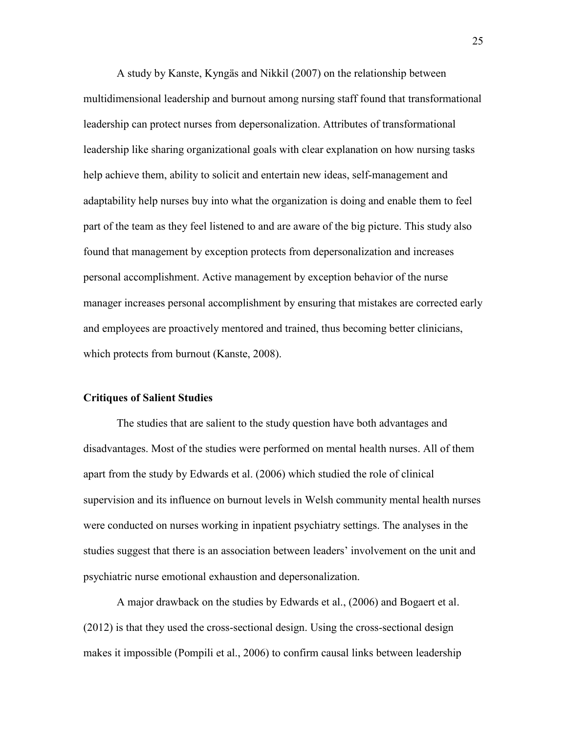A study by Kanste, Kyngäs and Nikkil (2007) on the relationship between multidimensional leadership and burnout among nursing staff found that transformational leadership can protect nurses from depersonalization. Attributes of transformational leadership like sharing organizational goals with clear explanation on how nursing tasks help achieve them, ability to solicit and entertain new ideas, self-management and adaptability help nurses buy into what the organization is doing and enable them to feel part of the team as they feel listened to and are aware of the big picture. This study also found that management by exception protects from depersonalization and increases personal accomplishment. Active management by exception behavior of the nurse manager increases personal accomplishment by ensuring that mistakes are corrected early and employees are proactively mentored and trained, thus becoming better clinicians, which protects from burnout (Kanste, 2008).

#### **Critiques of Salient Studies**

The studies that are salient to the study question have both advantages and disadvantages. Most of the studies were performed on mental health nurses. All of them apart from the study by Edwards et al. (2006) which studied the role of clinical supervision and its influence on burnout levels in Welsh community mental health nurses were conducted on nurses working in inpatient psychiatry settings. The analyses in the studies suggest that there is an association between leaders' involvement on the unit and psychiatric nurse emotional exhaustion and depersonalization.

A major drawback on the studies by Edwards et al., (2006) and Bogaert et al. (2012) is that they used the cross-sectional design. Using the cross-sectional design makes it impossible (Pompili et al., 2006) to confirm causal links between leadership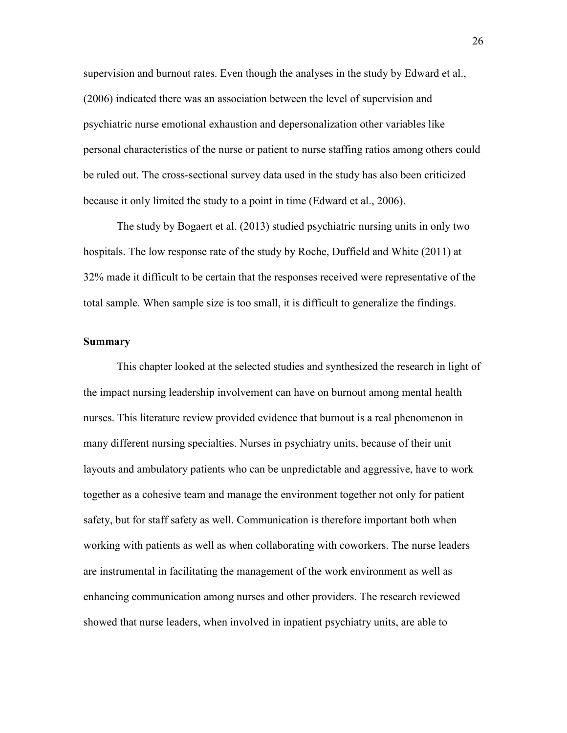supervision and burnout rates. Even though the analyses in the study by Edward et al., (2006) indicated there was an association between the level of supervision and psychiatric nurse emotional exhaustion and depersonalization other variables like personal characteristics of the nurse or patient to nurse staffing ratios among others could be ruled out. The cross-sectional survey data used in the study has also been criticized because it only limited the study to a point in time (Edward et al., 2006).

The study by Bogaert et al. (2013) studied psychiatric nursing units in only two hospitals. The low response rate of the study by Roche, Duffield and White (2011) at 32% made it difficult to be certain that the responses received were representative of the total sample. When sample size is too small, it is difficult to generalize the findings.

#### **Summary**

This chapter looked at the selected studies and synthesized the research in light of the impact nursing leadership involvement can have on burnout among mental health nurses. This literature review provided evidence that burnout is a real phenomenon in many different nursing specialties. Nurses in psychiatry units, because of their unit layouts and ambulatory patients who can be unpredictable and aggressive, have to work together as a cohesive team and manage the environment together not only for patient safety, but for staff safety as well. Communication is therefore important both when working with patients as well as when collaborating with coworkers. The nurse leaders are instrumental in facilitating the management of the work environment as well as enhancing communication among nurses and other providers. The research reviewed showed that nurse leaders, when involved in inpatient psychiatry units, are able to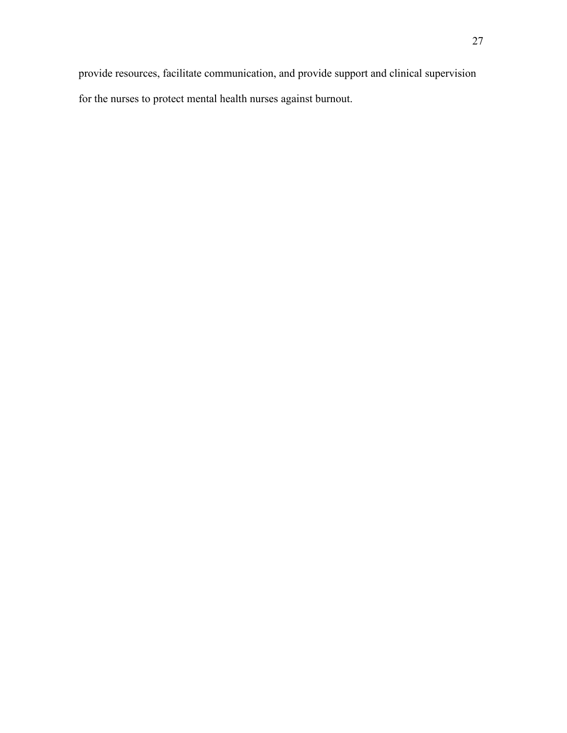provide resources, facilitate communication, and provide support and clinical supervision for the nurses to protect mental health nurses against burnout.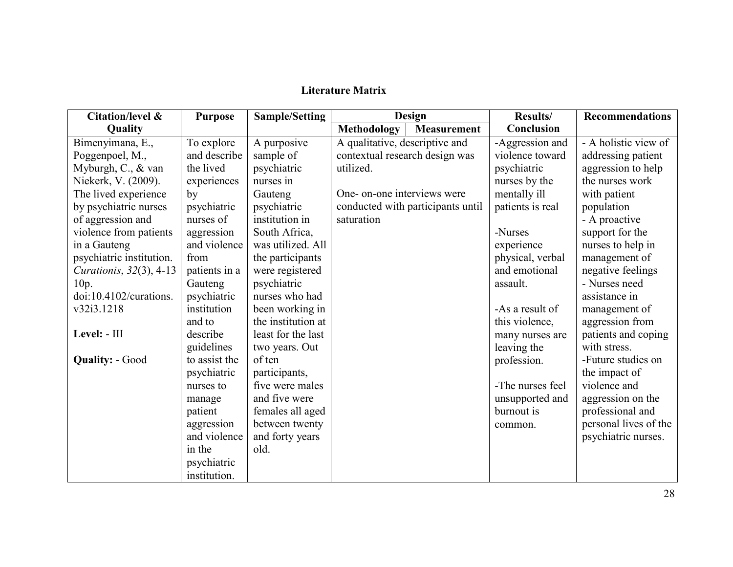# **Literature Matrix**

| <b>Citation/level &amp;</b>     | <b>Purpose</b> | <b>Sample/Setting</b> |                                | Design                            | <b>Results/</b>  | <b>Recommendations</b> |
|---------------------------------|----------------|-----------------------|--------------------------------|-----------------------------------|------------------|------------------------|
| Quality                         |                |                       | Methodology                    | <b>Measurement</b>                | Conclusion       |                        |
| Bimenyimana, E.,                | To explore     | A purposive           | A qualitative, descriptive and |                                   | -Aggression and  | - A holistic view of   |
| Poggenpoel, M.,                 | and describe   | sample of             | contextual research design was |                                   | violence toward  | addressing patient     |
| Myburgh, C., & van              | the lived      | psychiatric           | utilized.                      |                                   | psychiatric      | aggression to help     |
| Niekerk, V. (2009).             | experiences    | nurses in             |                                |                                   | nurses by the    | the nurses work        |
| The lived experience            | by             | Gauteng               | One- on-one interviews were    |                                   | mentally ill     | with patient           |
| by psychiatric nurses           | psychiatric    | psychiatric           |                                | conducted with participants until | patients is real | population             |
| of aggression and               | nurses of      | institution in        | saturation                     |                                   |                  | - A proactive          |
| violence from patients          | aggression     | South Africa,         |                                |                                   | -Nurses          | support for the        |
| in a Gauteng                    | and violence   | was utilized. All     |                                |                                   | experience       | nurses to help in      |
| psychiatric institution.        | from           | the participants      |                                |                                   | physical, verbal | management of          |
| <i>Curationis</i> , 32(3), 4-13 | patients in a  | were registered       |                                |                                   | and emotional    | negative feelings      |
| 10p.                            | Gauteng        | psychiatric           |                                |                                   | assault.         | - Nurses need          |
| doi:10.4102/curations.          | psychiatric    | nurses who had        |                                |                                   |                  | assistance in          |
| v32i3.1218                      | institution    | been working in       |                                |                                   | -As a result of  | management of          |
|                                 | and to         | the institution at    |                                |                                   | this violence,   | aggression from        |
| Level: - III                    | describe       | least for the last    |                                |                                   | many nurses are  | patients and coping    |
|                                 | guidelines     | two years. Out        |                                |                                   | leaving the      | with stress.           |
| <b>Quality: - Good</b>          | to assist the  | of ten                |                                |                                   | profession.      | -Future studies on     |
|                                 | psychiatric    | participants,         |                                |                                   |                  | the impact of          |
|                                 | nurses to      | five were males       |                                |                                   | -The nurses feel | violence and           |
|                                 | manage         | and five were         |                                |                                   | unsupported and  | aggression on the      |
|                                 | patient        | females all aged      |                                |                                   | burnout is       | professional and       |
|                                 | aggression     | between twenty        |                                |                                   | common.          | personal lives of the  |
|                                 | and violence   | and forty years       |                                |                                   |                  | psychiatric nurses.    |
|                                 | in the         | old.                  |                                |                                   |                  |                        |
|                                 | psychiatric    |                       |                                |                                   |                  |                        |
|                                 | institution.   |                       |                                |                                   |                  |                        |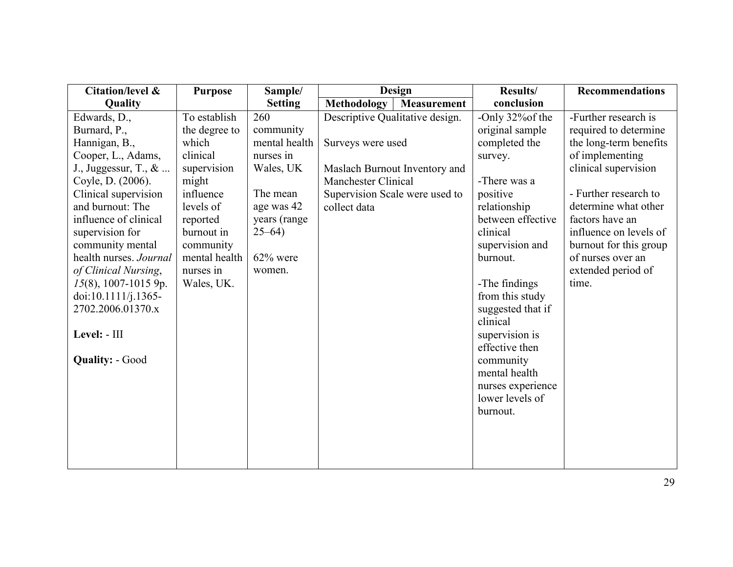| Citation/level &        | <b>Purpose</b> | Sample/        | <b>Design</b>                   |                    | Results/                                                          | <b>Recommendations</b> |
|-------------------------|----------------|----------------|---------------------------------|--------------------|-------------------------------------------------------------------|------------------------|
| Quality                 |                | <b>Setting</b> | Methodology                     | <b>Measurement</b> | conclusion                                                        |                        |
| Edwards, D.,            | To establish   | 260            | Descriptive Qualitative design. |                    | -Only 32% of the                                                  | -Further research is   |
| Burnard, P.,            | the degree to  | community      |                                 |                    | original sample                                                   | required to determine  |
| Hannigan, B.,           | which          | mental health  | Surveys were used               |                    | completed the                                                     | the long-term benefits |
| Cooper, L., Adams,      | clinical       | nurses in      |                                 |                    | survey.                                                           | of implementing        |
| J., Juggessur, T., $\&$ | supervision    | Wales, UK      | Maslach Burnout Inventory and   |                    |                                                                   | clinical supervision   |
| Coyle, D. (2006).       | might          |                | <b>Manchester Clinical</b>      |                    | -There was a                                                      |                        |
| Clinical supervision    | influence      | The mean       | Supervision Scale were used to  |                    | positive                                                          | - Further research to  |
| and burnout: The        | levels of      | age was 42     | collect data                    |                    | relationship                                                      | determine what other   |
| influence of clinical   | reported       | years (range   |                                 |                    | between effective                                                 | factors have an        |
| supervision for         | burnout in     | $25 - 64$      |                                 |                    | clinical                                                          | influence on levels of |
| community mental        | community      |                |                                 |                    | supervision and                                                   | burnout for this group |
| health nurses. Journal  | mental health  | $62\%$ were    |                                 |                    | burnout.                                                          | of nurses over an      |
| of Clinical Nursing,    | nurses in      | women.         |                                 |                    |                                                                   | extended period of     |
| $15(8)$ , 1007-1015 9p. | Wales, UK.     |                |                                 |                    | -The findings                                                     | time.                  |
| doi:10.1111/j.1365-     |                |                |                                 |                    | from this study                                                   |                        |
| 2702.2006.01370.x       |                |                |                                 |                    | suggested that if                                                 |                        |
|                         |                |                |                                 |                    | clinical                                                          |                        |
| Level: - III            |                |                |                                 |                    | supervision is                                                    |                        |
|                         |                |                |                                 |                    | effective then                                                    |                        |
| <b>Quality: - Good</b>  |                |                |                                 |                    | community                                                         |                        |
|                         |                |                |                                 |                    |                                                                   |                        |
|                         |                |                |                                 |                    |                                                                   |                        |
|                         |                |                |                                 |                    |                                                                   |                        |
|                         |                |                |                                 |                    |                                                                   |                        |
|                         |                |                |                                 |                    |                                                                   |                        |
|                         |                |                |                                 |                    |                                                                   |                        |
|                         |                |                |                                 |                    |                                                                   |                        |
|                         |                |                |                                 |                    | mental health<br>nurses experience<br>lower levels of<br>burnout. |                        |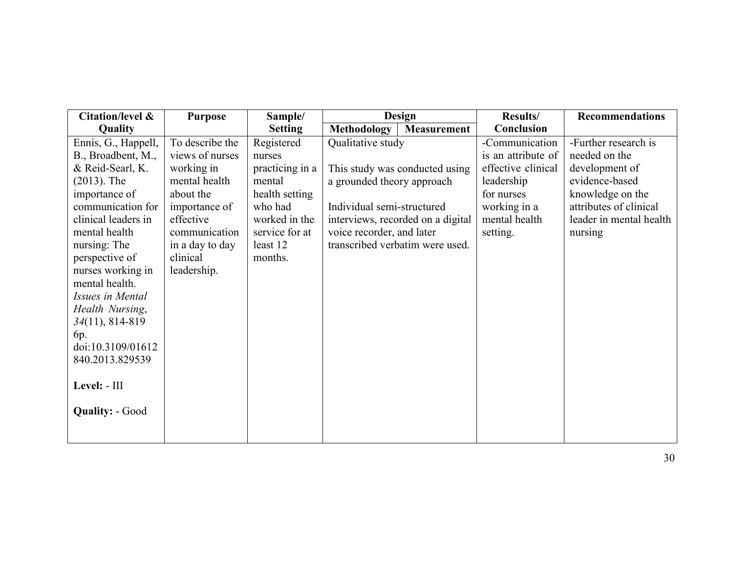| Citation/level &       | <b>Purpose</b>  | Sample/         | <b>Design</b>                     | Results/           | <b>Recommendations</b>  |
|------------------------|-----------------|-----------------|-----------------------------------|--------------------|-------------------------|
| Quality                |                 | <b>Setting</b>  | Methodology<br><b>Measurement</b> | Conclusion         |                         |
| Ennis, G., Happell,    | To describe the | Registered      | Qualitative study                 | -Communication     | -Further research is    |
| B., Broadbent, M.,     | views of nurses | nurses          |                                   | is an attribute of | needed on the           |
| & Reid-Searl, K.       | working in      | practicing in a | This study was conducted using    | effective clinical | development of          |
| $(2013)$ . The         | mental health   | mental          | a grounded theory approach        | leadership         | evidence-based          |
| importance of          | about the       | health setting  |                                   | for nurses         | knowledge on the        |
| communication for      | importance of   | who had         | Individual semi-structured        | working in a       | attributes of clinical  |
| clinical leaders in    | effective       | worked in the   | interviews, recorded on a digital | mental health      | leader in mental health |
| mental health          | communication   | service for at  | voice recorder, and later         | setting.           | nursing                 |
| nursing: The           | in a day to day | least 12        | transcribed verbatim were used.   |                    |                         |
| perspective of         | clinical        | months.         |                                   |                    |                         |
| nurses working in      | leadership.     |                 |                                   |                    |                         |
| mental health.         |                 |                 |                                   |                    |                         |
| Issues in Mental       |                 |                 |                                   |                    |                         |
| Health Nursing,        |                 |                 |                                   |                    |                         |
| $34(11), 814-819$      |                 |                 |                                   |                    |                         |
| 6p.                    |                 |                 |                                   |                    |                         |
| doi:10.3109/01612      |                 |                 |                                   |                    |                         |
| 840.2013.829539        |                 |                 |                                   |                    |                         |
| Level: - III           |                 |                 |                                   |                    |                         |
|                        |                 |                 |                                   |                    |                         |
| <b>Quality: - Good</b> |                 |                 |                                   |                    |                         |
|                        |                 |                 |                                   |                    |                         |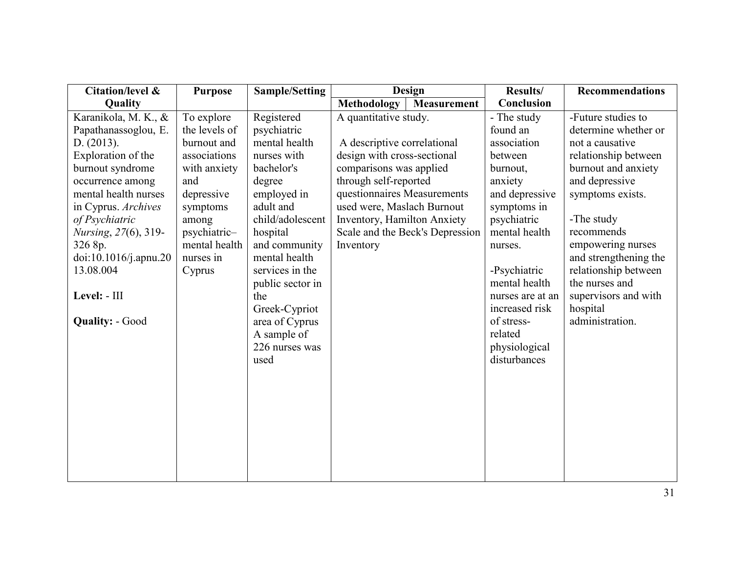| Citation/level &             | <b>Purpose</b> | Sample/Setting   | <b>Design</b>                            | Results/         | <b>Recommendations</b> |
|------------------------------|----------------|------------------|------------------------------------------|------------------|------------------------|
| Quality                      |                |                  | <b>Methodology</b><br><b>Measurement</b> | Conclusion       |                        |
| Karanikola, M. K., &         | To explore     | Registered       | A quantitative study.                    | - The study      | -Future studies to     |
| Papathanassoglou, E.         | the levels of  | psychiatric      |                                          | found an         | determine whether or   |
| D. (2013).                   | burnout and    | mental health    | A descriptive correlational              | association      | not a causative        |
| Exploration of the           | associations   | nurses with      | design with cross-sectional              | between          | relationship between   |
| burnout syndrome             | with anxiety   | bachelor's       | comparisons was applied                  | burnout,         | burnout and anxiety    |
| occurrence among             | and            | degree           | through self-reported                    | anxiety          | and depressive         |
| mental health nurses         | depressive     | employed in      | questionnaires Measurements              | and depressive   | symptoms exists.       |
| in Cyprus. Archives          | symptoms       | adult and        | used were, Maslach Burnout               | symptoms in      |                        |
| of Psychiatric               | among          | child/adolescent | Inventory, Hamilton Anxiety              | psychiatric      | -The study             |
| <i>Nursing</i> , 27(6), 319- | psychiatric-   | hospital         | Scale and the Beck's Depression          | mental health    | recommends             |
| 326 8p.                      | mental health  | and community    | Inventory                                | nurses.          | empowering nurses      |
| doi:10.1016/j.apnu.20        | nurses in      | mental health    |                                          |                  | and strengthening the  |
| 13.08.004                    | Cyprus         | services in the  |                                          | -Psychiatric     | relationship between   |
|                              |                | public sector in |                                          | mental health    | the nurses and         |
| Level: - III                 |                | the              |                                          | nurses are at an | supervisors and with   |
|                              |                | Greek-Cypriot    |                                          | increased risk   | hospital               |
| <b>Quality: - Good</b>       |                | area of Cyprus   |                                          | of stress-       | administration.        |
|                              |                | A sample of      |                                          | related          |                        |
|                              |                | 226 nurses was   |                                          | physiological    |                        |
|                              |                | used             |                                          | disturbances     |                        |
|                              |                |                  |                                          |                  |                        |
|                              |                |                  |                                          |                  |                        |
|                              |                |                  |                                          |                  |                        |
|                              |                |                  |                                          |                  |                        |
|                              |                |                  |                                          |                  |                        |
|                              |                |                  |                                          |                  |                        |
|                              |                |                  |                                          |                  |                        |
|                              |                |                  |                                          |                  |                        |
|                              |                |                  |                                          |                  |                        |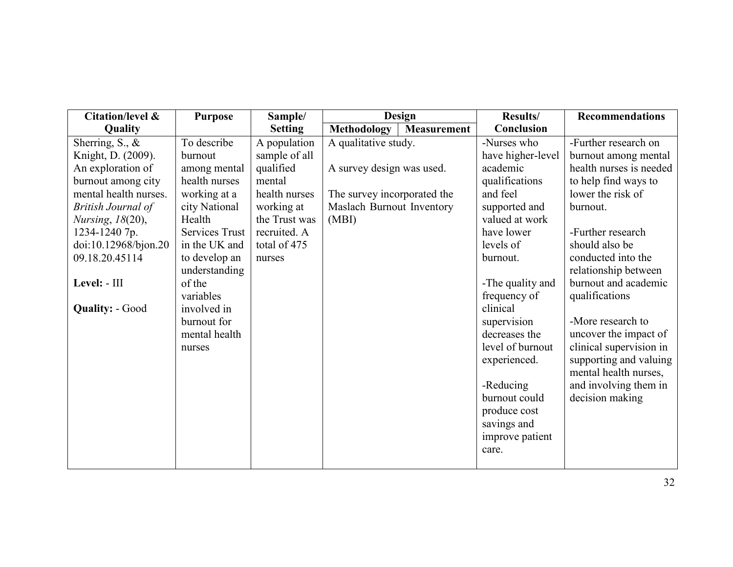| Citation/level &          | <b>Purpose</b> | Sample/        |                             | <b>Design</b>      | Results/          | Recommendations         |
|---------------------------|----------------|----------------|-----------------------------|--------------------|-------------------|-------------------------|
| Quality                   |                | <b>Setting</b> | <b>Methodology</b>          | <b>Measurement</b> | Conclusion        |                         |
| Sherring, S., $\&$        | To describe    | A population   | A qualitative study.        |                    | -Nurses who       | -Further research on    |
| Knight, D. (2009).        | burnout        | sample of all  |                             |                    | have higher-level | burnout among mental    |
| An exploration of         | among mental   | qualified      | A survey design was used.   |                    | academic          | health nurses is needed |
| burnout among city        | health nurses  | mental         |                             |                    | qualifications    | to help find ways to    |
| mental health nurses.     | working at a   | health nurses  | The survey incorporated the |                    | and feel          | lower the risk of       |
| <b>British Journal of</b> | city National  | working at     | Maslach Burnout Inventory   |                    | supported and     | burnout.                |
| <i>Nursing</i> , 18(20),  | Health         | the Trust was  | (MBI)                       |                    | valued at work    |                         |
| 1234-1240 7p.             | Services Trust | recruited. A   |                             |                    | have lower        | -Further research       |
| doi:10.12968/bjon.20      | in the UK and  | total of 475   |                             |                    | levels of         | should also be          |
| 09.18.20.45114            | to develop an  | nurses         |                             |                    | burnout.          | conducted into the      |
|                           | understanding  |                |                             |                    |                   | relationship between    |
| Level: - III              | of the         |                |                             |                    | -The quality and  | burnout and academic    |
|                           | variables      |                |                             |                    | frequency of      | qualifications          |
| <b>Quality: - Good</b>    | involved in    |                |                             |                    | clinical          |                         |
|                           | burnout for    |                |                             |                    | supervision       | -More research to       |
|                           | mental health  |                |                             |                    | decreases the     | uncover the impact of   |
|                           | nurses         |                |                             |                    | level of burnout  | clinical supervision in |
|                           |                |                |                             |                    | experienced.      | supporting and valuing  |
|                           |                |                |                             |                    |                   | mental health nurses,   |
|                           |                |                |                             |                    | -Reducing         | and involving them in   |
|                           |                |                |                             |                    | burnout could     | decision making         |
|                           |                |                |                             |                    | produce cost      |                         |
|                           |                |                |                             |                    | savings and       |                         |
|                           |                |                |                             |                    | improve patient   |                         |
|                           |                |                |                             |                    | care.             |                         |
|                           |                |                |                             |                    |                   |                         |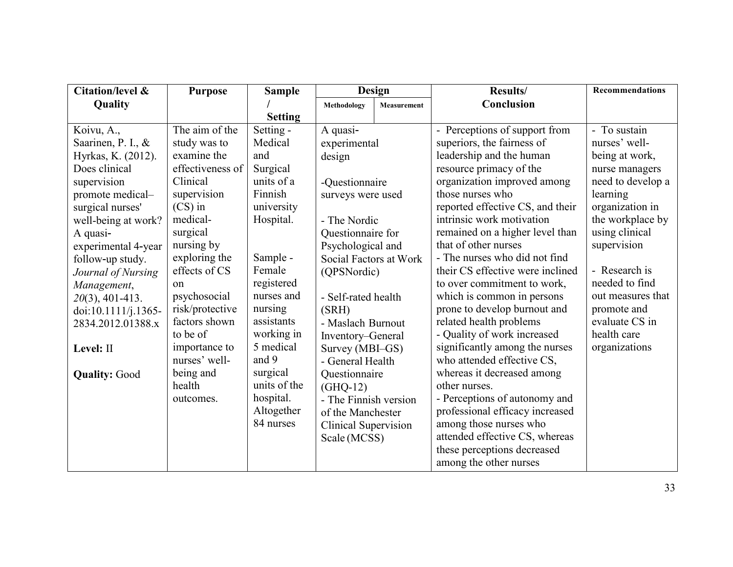| <b>Citation/level &amp;</b> | <b>Purpose</b>   | <b>Sample</b>  |                             | Design             | Results/                         | <b>Recommendations</b> |
|-----------------------------|------------------|----------------|-----------------------------|--------------------|----------------------------------|------------------------|
| Quality                     |                  |                | Methodology                 | <b>Measurement</b> | Conclusion                       |                        |
|                             |                  | <b>Setting</b> |                             |                    |                                  |                        |
| Koivu, A.,                  | The aim of the   | Setting -      | A quasi-                    |                    | - Perceptions of support from    | - To sustain           |
| Saarinen, P. I., &          | study was to     | Medical        | experimental                |                    | superiors, the fairness of       | nurses' well-          |
| Hyrkas, K. (2012).          | examine the      | and            | design                      |                    | leadership and the human         | being at work,         |
| Does clinical               | effectiveness of | Surgical       |                             |                    | resource primacy of the          | nurse managers         |
| supervision                 | Clinical         | units of a     | -Questionnaire              |                    | organization improved among      | need to develop a      |
| promote medical-            | supervision      | Finnish        | surveys were used           |                    | those nurses who                 | learning               |
| surgical nurses'            | $(CS)$ in        | university     |                             |                    | reported effective CS, and their | organization in        |
| well-being at work?         | medical-         | Hospital.      | - The Nordic                |                    | intrinsic work motivation        | the workplace by       |
| A quasi-                    | surgical         |                | Questionnaire for           |                    | remained on a higher level than  | using clinical         |
| experimental 4-year         | nursing by       |                | Psychological and           |                    | that of other nurses             | supervision            |
| follow-up study.            | exploring the    | Sample -       | Social Factors at Work      |                    | - The nurses who did not find    |                        |
| Journal of Nursing          | effects of CS    | Female         | (QPSNordic)                 |                    | their CS effective were inclined | - Research is          |
| Management,                 | $^{on}$          | registered     |                             |                    | to over commitment to work,      | needed to find         |
| $20(3)$ , 401-413.          | psychosocial     | nurses and     | - Self-rated health         |                    | which is common in persons       | out measures that      |
| doi:10.1111/j.1365-         | risk/protective  | nursing        | (SRH)                       |                    | prone to develop burnout and     | promote and            |
| 2834.2012.01388.x           | factors shown    | assistants     | - Maslach Burnout           |                    | related health problems          | evaluate CS in         |
|                             | to be of         | working in     | Inventory-General           |                    | - Quality of work increased      | health care            |
| Level: II                   | importance to    | 5 medical      | Survey (MBI-GS)             |                    | significantly among the nurses   | organizations          |
|                             | nurses' well-    | and 9          | - General Health            |                    | who attended effective CS,       |                        |
| <b>Quality: Good</b>        | being and        | surgical       | Questionnaire               |                    | whereas it decreased among       |                        |
|                             | health           | units of the   | $(GHQ-12)$                  |                    | other nurses.                    |                        |
|                             | outcomes.        | hospital.      | - The Finnish version       |                    | - Perceptions of autonomy and    |                        |
|                             |                  | Altogether     | of the Manchester           |                    | professional efficacy increased  |                        |
|                             |                  | 84 nurses      | <b>Clinical Supervision</b> |                    | among those nurses who           |                        |
|                             |                  |                | Scale (MCSS)                |                    | attended effective CS, whereas   |                        |
|                             |                  |                |                             |                    | these perceptions decreased      |                        |
|                             |                  |                |                             |                    | among the other nurses           |                        |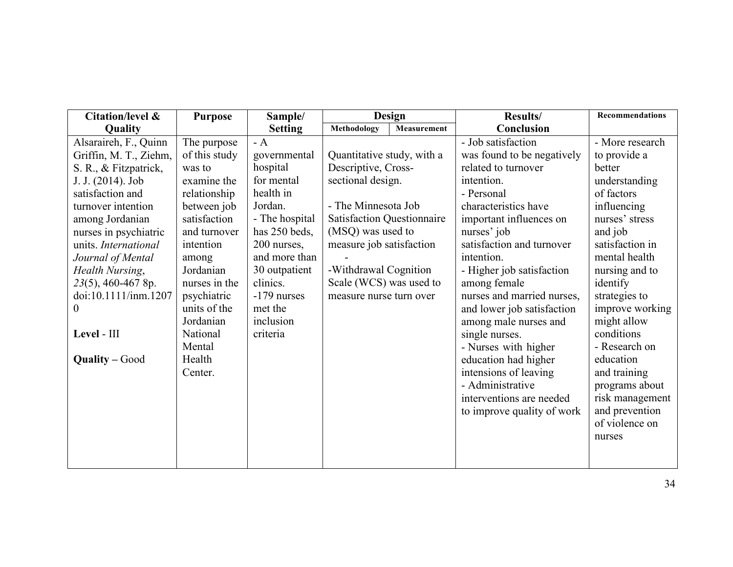| Citation/level &       | <b>Purpose</b> | Sample/        |                                   | <b>Design</b>      | Results/                   | <b>Recommendations</b> |
|------------------------|----------------|----------------|-----------------------------------|--------------------|----------------------------|------------------------|
| Quality                |                | <b>Setting</b> | Methodology                       | <b>Measurement</b> | Conclusion                 |                        |
| Alsaraireh, F., Quinn  | The purpose    | $- A$          |                                   |                    | - Job satisfaction         | - More research        |
| Griffin, M. T., Ziehm, | of this study  | governmental   | Quantitative study, with a        |                    | was found to be negatively | to provide a           |
| S. R., & Fitzpatrick,  | was to         | hospital       | Descriptive, Cross-               |                    | related to turnover        | better                 |
| J. J. (2014). Job      | examine the    | for mental     | sectional design.                 |                    | intention.                 | understanding          |
| satisfaction and       | relationship   | health in      |                                   |                    | - Personal                 | of factors             |
| turnover intention     | between job    | Jordan.        | - The Minnesota Job               |                    | characteristics have       | influencing            |
| among Jordanian        | satisfaction   | - The hospital | <b>Satisfaction Questionnaire</b> |                    | important influences on    | nurses' stress         |
| nurses in psychiatric  | and turnover   | has 250 beds,  | (MSQ) was used to                 |                    | nurses' job                | and job                |
| units. International   | intention      | 200 nurses,    | measure job satisfaction          |                    | satisfaction and turnover  | satisfaction in        |
| Journal of Mental      | among          | and more than  |                                   |                    | intention.                 | mental health          |
| Health Nursing,        | Jordanian      | 30 outpatient  | -Withdrawal Cognition             |                    | - Higher job satisfaction  | nursing and to         |
| 23(5), 460-467 8p.     | nurses in the  | clinics.       | Scale (WCS) was used to           |                    | among female               | identify               |
| doi:10.1111/inm.1207   | psychiatric    | $-179$ nurses  | measure nurse turn over           |                    | nurses and married nurses, | strategies to          |
| $\boldsymbol{0}$       | units of the   | met the        |                                   |                    | and lower job satisfaction | improve working        |
|                        | Jordanian      | inclusion      |                                   |                    | among male nurses and      | might allow            |
| Level - III            | National       | criteria       |                                   |                    | single nurses.             | conditions             |
|                        | Mental         |                |                                   |                    | - Nurses with higher       | - Research on          |
| <b>Quality - Good</b>  | Health         |                |                                   |                    | education had higher       | education              |
|                        | Center.        |                |                                   |                    | intensions of leaving      | and training           |
|                        |                |                |                                   |                    | - Administrative           | programs about         |
|                        |                |                |                                   |                    | interventions are needed   | risk management        |
|                        |                |                |                                   |                    | to improve quality of work | and prevention         |
|                        |                |                |                                   |                    |                            | of violence on         |
|                        |                |                |                                   |                    |                            | nurses                 |
|                        |                |                |                                   |                    |                            |                        |
|                        |                |                |                                   |                    |                            |                        |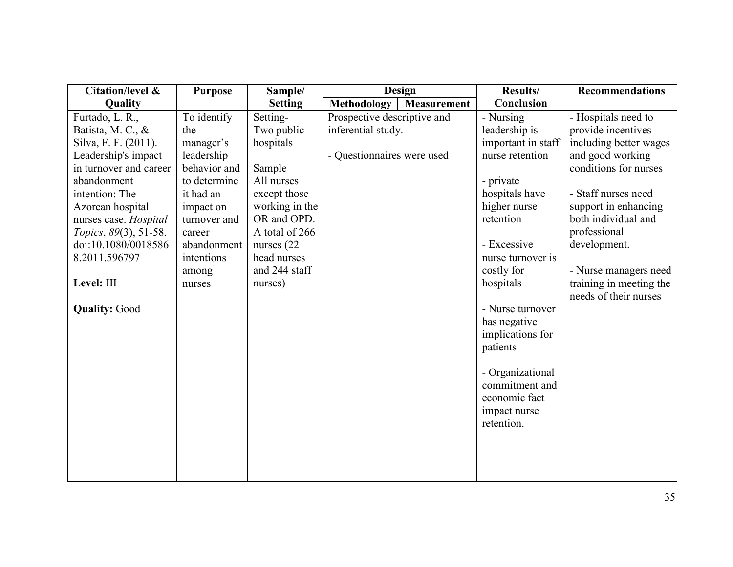| Citation/level &       | <b>Purpose</b> | Sample/        |                             | <b>Design</b>      | Results/           | <b>Recommendations</b>                           |
|------------------------|----------------|----------------|-----------------------------|--------------------|--------------------|--------------------------------------------------|
| Quality                |                | <b>Setting</b> | <b>Methodology</b>          | <b>Measurement</b> | Conclusion         |                                                  |
| Furtado, L. R.,        | To identify    | Setting-       | Prospective descriptive and |                    | - Nursing          | - Hospitals need to                              |
| Batista, M. C., &      | the            | Two public     | inferential study.          |                    | leadership is      | provide incentives                               |
| Silva, F. F. (2011).   | manager's      | hospitals      |                             |                    | important in staff | including better wages                           |
| Leadership's impact    | leadership     |                | - Questionnaires were used  |                    | nurse retention    | and good working                                 |
| in turnover and career | behavior and   | Sample $-$     |                             |                    |                    | conditions for nurses                            |
| abandonment            | to determine   | All nurses     |                             |                    | - private          |                                                  |
| intention: The         | it had an      | except those   |                             |                    | hospitals have     | - Staff nurses need                              |
| Azorean hospital       | impact on      | working in the |                             |                    | higher nurse       | support in enhancing                             |
| nurses case. Hospital  | turnover and   | OR and OPD.    |                             |                    | retention          | both individual and                              |
| Topics, 89(3), 51-58.  | career         | A total of 266 |                             |                    |                    | professional                                     |
| doi:10.1080/0018586    | abandonment    | nurses $(22)$  |                             |                    | - Excessive        | development.                                     |
| 8.2011.596797          | intentions     | head nurses    |                             |                    | nurse turnover is  |                                                  |
|                        | among          | and 244 staff  |                             |                    | costly for         | - Nurse managers need                            |
| Level: III             | nurses         | nurses)        |                             |                    | hospitals          | training in meeting the<br>needs of their nurses |
| <b>Quality: Good</b>   |                |                |                             |                    | - Nurse turnover   |                                                  |
|                        |                |                |                             |                    | has negative       |                                                  |
|                        |                |                |                             |                    | implications for   |                                                  |
|                        |                |                |                             |                    | patients           |                                                  |
|                        |                |                |                             |                    |                    |                                                  |
|                        |                |                |                             |                    | - Organizational   |                                                  |
|                        |                |                |                             |                    | commitment and     |                                                  |
|                        |                |                |                             |                    | economic fact      |                                                  |
|                        |                |                |                             |                    | impact nurse       |                                                  |
|                        |                |                |                             |                    | retention.         |                                                  |
|                        |                |                |                             |                    |                    |                                                  |
|                        |                |                |                             |                    |                    |                                                  |
|                        |                |                |                             |                    |                    |                                                  |
|                        |                |                |                             |                    |                    |                                                  |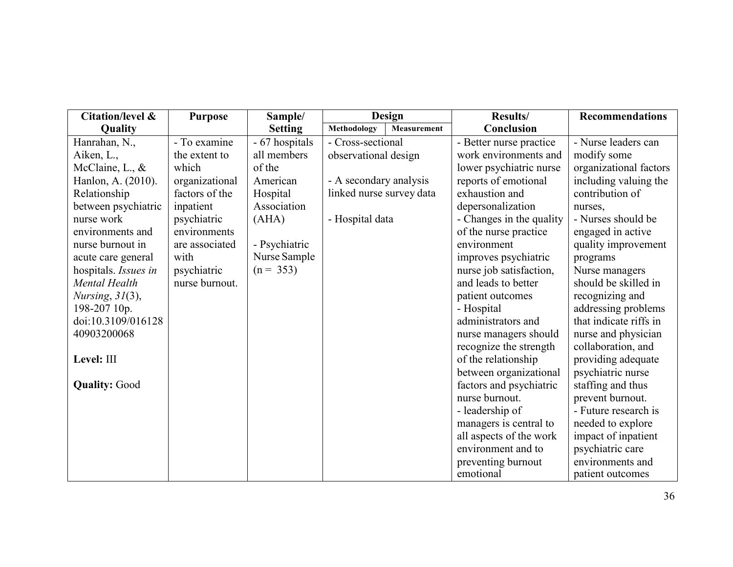| Citation/level &     | <b>Purpose</b> | Sample/        |                          | <b>Design</b> | <b>Results/</b>          | <b>Recommendations</b> |
|----------------------|----------------|----------------|--------------------------|---------------|--------------------------|------------------------|
| Quality              |                | <b>Setting</b> | Methodology              | Measurement   | Conclusion               |                        |
| Hanrahan, N.,        | - To examine   | - 67 hospitals | - Cross-sectional        |               | - Better nurse practice  | - Nurse leaders can    |
| Aiken, L.,           | the extent to  | all members    | observational design     |               | work environments and    | modify some            |
| McClaine, L., $&$    | which          | of the         |                          |               | lower psychiatric nurse  | organizational factors |
| Hanlon, A. (2010).   | organizational | American       | - A secondary analysis   |               | reports of emotional     | including valuing the  |
| Relationship         | factors of the | Hospital       | linked nurse survey data |               | exhaustion and           | contribution of        |
| between psychiatric  | inpatient      | Association    |                          |               | depersonalization        | nurses,                |
| nurse work           | psychiatric    | (AHA)          | - Hospital data          |               | - Changes in the quality | - Nurses should be     |
| environments and     | environments   |                |                          |               | of the nurse practice    | engaged in active      |
| nurse burnout in     | are associated | - Psychiatric  |                          |               | environment              | quality improvement    |
| acute care general   | with           | Nurse Sample   |                          |               | improves psychiatric     | programs               |
| hospitals. Issues in | psychiatric    | $(n = 353)$    |                          |               | nurse job satisfaction,  | Nurse managers         |
| Mental Health        | nurse burnout. |                |                          |               | and leads to better      | should be skilled in   |
| Nursing, $31(3)$ ,   |                |                |                          |               | patient outcomes         | recognizing and        |
| 198-207 10p.         |                |                |                          |               | - Hospital               | addressing problems    |
| doi:10.3109/016128   |                |                |                          |               | administrators and       | that indicate riffs in |
| 40903200068          |                |                |                          |               | nurse managers should    | nurse and physician    |
|                      |                |                |                          |               | recognize the strength   | collaboration, and     |
| Level: III           |                |                |                          |               | of the relationship      | providing adequate     |
|                      |                |                |                          |               | between organizational   | psychiatric nurse      |
| <b>Quality: Good</b> |                |                |                          |               | factors and psychiatric  | staffing and thus      |
|                      |                |                |                          |               | nurse burnout.           | prevent burnout.       |
|                      |                |                |                          |               | - leadership of          | - Future research is   |
|                      |                |                |                          |               | managers is central to   | needed to explore      |
|                      |                |                |                          |               | all aspects of the work  | impact of inpatient    |
|                      |                |                |                          |               | environment and to       | psychiatric care       |
|                      |                |                |                          |               | preventing burnout       | environments and       |
|                      |                |                |                          |               | emotional                | patient outcomes       |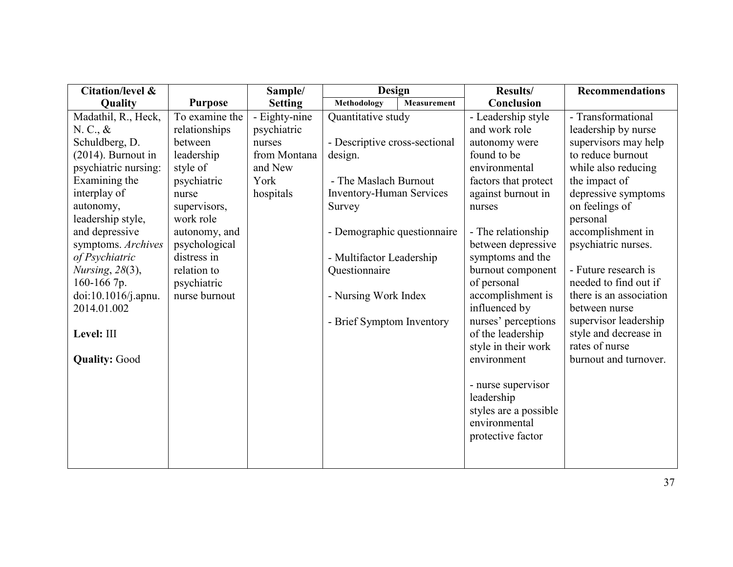| <b>Citation/level &amp;</b> |                | Sample/        | Design                          |             | Results/                               | <b>Recommendations</b>  |
|-----------------------------|----------------|----------------|---------------------------------|-------------|----------------------------------------|-------------------------|
| Quality                     | <b>Purpose</b> | <b>Setting</b> | <b>Methodology</b>              | Measurement | Conclusion                             |                         |
| Madathil, R., Heck,         | To examine the | - Eighty-nine  | Quantitative study              |             | - Leadership style                     | - Transformational      |
| N. C., &                    | relationships  | psychiatric    |                                 |             | and work role                          | leadership by nurse     |
| Schuldberg, D.              | between        | nurses         | - Descriptive cross-sectional   |             | autonomy were                          | supervisors may help    |
| $(2014)$ . Burnout in       | leadership     | from Montana   | design.                         |             | found to be                            | to reduce burnout       |
| psychiatric nursing:        | style of       | and New        |                                 |             | environmental                          | while also reducing     |
| Examining the               | psychiatric    | York           | - The Maslach Burnout           |             | factors that protect                   | the impact of           |
| interplay of                | nurse          | hospitals      | <b>Inventory-Human Services</b> |             | against burnout in                     | depressive symptoms     |
| autonomy,                   | supervisors,   |                | Survey                          |             | nurses                                 | on feelings of          |
| leadership style,           | work role      |                |                                 |             |                                        | personal                |
| and depressive              | autonomy, and  |                | - Demographic questionnaire     |             | - The relationship                     | accomplishment in       |
| symptoms. Archives          | psychological  |                |                                 |             | between depressive                     | psychiatric nurses.     |
| of Psychiatric              | distress in    |                | - Multifactor Leadership        |             | symptoms and the                       |                         |
| Nursing, 28(3),             | relation to    |                | Questionnaire                   |             | burnout component                      | - Future research is    |
| 160-166 7p.                 | psychiatric    |                |                                 |             | of personal                            | needed to find out if   |
| doi:10.1016/j.apnu.         | nurse burnout  |                | - Nursing Work Index            |             | accomplishment is                      | there is an association |
| 2014.01.002                 |                |                |                                 |             | influenced by                          | between nurse           |
|                             |                |                | - Brief Symptom Inventory       |             | nurses' perceptions                    | supervisor leadership   |
| Level: III                  |                |                |                                 |             | of the leadership                      | style and decrease in   |
|                             |                |                |                                 |             | style in their work                    | rates of nurse          |
| <b>Quality: Good</b>        |                |                |                                 |             | environment                            | burnout and turnover.   |
|                             |                |                |                                 |             |                                        |                         |
|                             |                |                |                                 |             | - nurse supervisor                     |                         |
|                             |                |                |                                 |             | leadership                             |                         |
|                             |                |                |                                 |             | styles are a possible<br>environmental |                         |
|                             |                |                |                                 |             |                                        |                         |
|                             |                |                |                                 |             | protective factor                      |                         |
|                             |                |                |                                 |             |                                        |                         |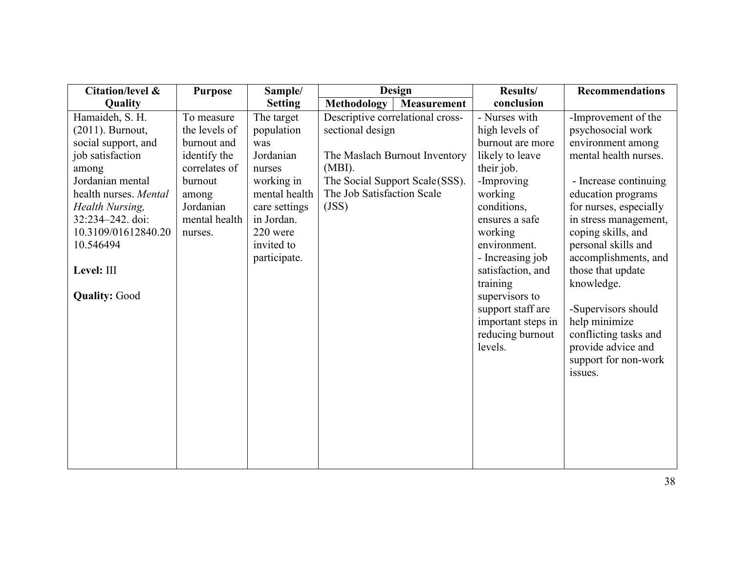| <b>Citation/level &amp;</b> | <b>Purpose</b> | Sample/        | Design                           | Results/           | <b>Recommendations</b> |
|-----------------------------|----------------|----------------|----------------------------------|--------------------|------------------------|
| Quality                     |                | <b>Setting</b> | Methodology<br>Measurement       | conclusion         |                        |
| Hamaideh, S. H.             | To measure     | The target     | Descriptive correlational cross- | - Nurses with      | -Improvement of the    |
| (2011). Burnout,            | the levels of  | population     | sectional design                 | high levels of     | psychosocial work      |
| social support, and         | burnout and    | was            |                                  | burnout are more   | environment among      |
| job satisfaction            | identify the   | Jordanian      | The Maslach Burnout Inventory    | likely to leave    | mental health nurses.  |
| among                       | correlates of  | nurses         | $(MBI)$ .                        | their job.         |                        |
| Jordanian mental            | burnout        | working in     | The Social Support Scale(SSS).   | -Improving         | - Increase continuing  |
| health nurses. Mental       | among          | mental health  | The Job Satisfaction Scale       | working            | education programs     |
| Health Nursing,             | Jordanian      | care settings  | (JSS)                            | conditions,        | for nurses, especially |
| 32:234-242. doi:            | mental health  | in Jordan.     |                                  | ensures a safe     | in stress management,  |
| 10.3109/01612840.20         | nurses.        | 220 were       |                                  | working            | coping skills, and     |
| 10.546494                   |                | invited to     |                                  | environment.       | personal skills and    |
|                             |                | participate.   |                                  | - Increasing job   | accomplishments, and   |
| Level: III                  |                |                |                                  | satisfaction, and  | those that update      |
|                             |                |                |                                  | training           | knowledge.             |
| <b>Quality: Good</b>        |                |                |                                  | supervisors to     |                        |
|                             |                |                |                                  | support staff are  | -Supervisors should    |
|                             |                |                |                                  | important steps in | help minimize          |
|                             |                |                |                                  | reducing burnout   | conflicting tasks and  |
|                             |                |                |                                  | levels.            | provide advice and     |
|                             |                |                |                                  |                    | support for non-work   |
|                             |                |                |                                  |                    | issues.                |
|                             |                |                |                                  |                    |                        |
|                             |                |                |                                  |                    |                        |
|                             |                |                |                                  |                    |                        |
|                             |                |                |                                  |                    |                        |
|                             |                |                |                                  |                    |                        |
|                             |                |                |                                  |                    |                        |
|                             |                |                |                                  |                    |                        |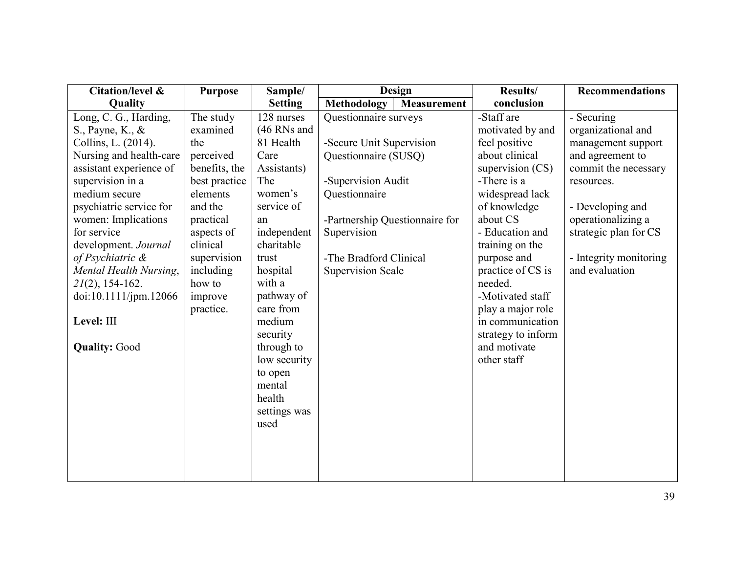| <b>Citation/level &amp;</b> | <b>Purpose</b> | Sample/        | <b>Design</b>                            | Results/           | <b>Recommendations</b> |
|-----------------------------|----------------|----------------|------------------------------------------|--------------------|------------------------|
| Quality                     |                | <b>Setting</b> | <b>Methodology</b><br><b>Measurement</b> | conclusion         |                        |
| Long, C. G., Harding,       | The study      | 128 nurses     | Questionnaire surveys                    | -Staff are         | - Securing             |
| S., Payne, K., &            | examined       | $(46$ RNs and  |                                          | motivated by and   | organizational and     |
| Collins, L. (2014).         | the            | 81 Health      | -Secure Unit Supervision                 | feel positive      | management support     |
| Nursing and health-care     | perceived      | Care           | Questionnaire (SUSQ)                     | about clinical     | and agreement to       |
| assistant experience of     | benefits, the  | Assistants)    |                                          | supervision (CS)   | commit the necessary   |
| supervision in a            | best practice  | The            | -Supervision Audit                       | -There is a        | resources.             |
| medium secure               | elements       | women's        | Questionnaire                            | widespread lack    |                        |
| psychiatric service for     | and the        | service of     |                                          | of knowledge       | - Developing and       |
| women: Implications         | practical      | an             | -Partnership Questionnaire for           | about CS           | operationalizing a     |
| for service                 | aspects of     | independent    | Supervision                              | - Education and    | strategic plan for CS  |
| development. Journal        | clinical       | charitable     |                                          | training on the    |                        |
| of Psychiatric &            | supervision    | trust          | -The Bradford Clinical                   | purpose and        | - Integrity monitoring |
| Mental Health Nursing,      | including      | hospital       | <b>Supervision Scale</b>                 | practice of CS is  | and evaluation         |
| $2I(2)$ , 154-162.          | how to         | with a         |                                          | needed.            |                        |
| doi:10.1111/jpm.12066       | improve        | pathway of     |                                          | -Motivated staff   |                        |
|                             | practice.      | care from      |                                          | play a major role  |                        |
| Level: III                  |                | medium         |                                          | in communication   |                        |
|                             |                | security       |                                          | strategy to inform |                        |
| <b>Quality: Good</b>        |                | through to     |                                          | and motivate       |                        |
|                             |                | low security   |                                          | other staff        |                        |
|                             |                | to open        |                                          |                    |                        |
|                             |                | mental         |                                          |                    |                        |
|                             |                | health         |                                          |                    |                        |
|                             |                | settings was   |                                          |                    |                        |
|                             |                | used           |                                          |                    |                        |
|                             |                |                |                                          |                    |                        |
|                             |                |                |                                          |                    |                        |
|                             |                |                |                                          |                    |                        |
|                             |                |                |                                          |                    |                        |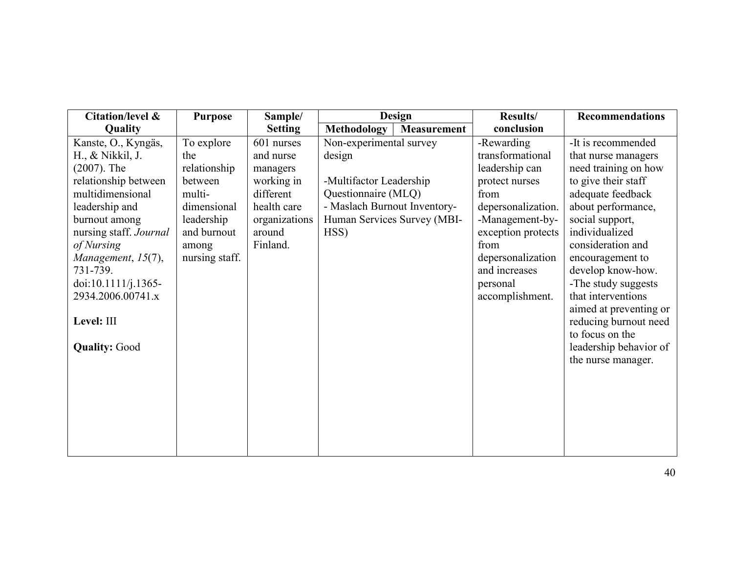| Citation/level &                                                                                                                                                                                                                                                                                     | <b>Purpose</b>                                                                                                                | Sample/                                                                                                              |                                                                                                                                                            | Design      | Results/                                                                                                                                                                                                               | <b>Recommendations</b>                                                                                                                                                                                                                                                                                                                                                                                    |
|------------------------------------------------------------------------------------------------------------------------------------------------------------------------------------------------------------------------------------------------------------------------------------------------------|-------------------------------------------------------------------------------------------------------------------------------|----------------------------------------------------------------------------------------------------------------------|------------------------------------------------------------------------------------------------------------------------------------------------------------|-------------|------------------------------------------------------------------------------------------------------------------------------------------------------------------------------------------------------------------------|-----------------------------------------------------------------------------------------------------------------------------------------------------------------------------------------------------------------------------------------------------------------------------------------------------------------------------------------------------------------------------------------------------------|
| Quality                                                                                                                                                                                                                                                                                              |                                                                                                                               | <b>Setting</b>                                                                                                       | <b>Methodology</b>                                                                                                                                         | Measurement | conclusion                                                                                                                                                                                                             |                                                                                                                                                                                                                                                                                                                                                                                                           |
| Kanste, O., Kyngäs,<br>H., & Nikkil, J.<br>$(2007)$ . The<br>relationship between<br>multidimensional<br>leadership and<br>burnout among<br>nursing staff. Journal<br>of Nursing<br>Management, 15(7),<br>731-739.<br>doi:10.1111/j.1365-<br>2934.2006.00741.x<br>Level: III<br><b>Quality: Good</b> | To explore<br>the<br>relationship<br>between<br>multi-<br>dimensional<br>leadership<br>and burnout<br>among<br>nursing staff. | 601 nurses<br>and nurse<br>managers<br>working in<br>different<br>health care<br>organizations<br>around<br>Finland. | Non-experimental survey<br>design<br>-Multifactor Leadership<br>Questionnaire (MLQ)<br>- Maslach Burnout Inventory-<br>Human Services Survey (MBI-<br>HSS) |             | -Rewarding<br>transformational<br>leadership can<br>protect nurses<br>from<br>depersonalization.<br>-Management-by-<br>exception protects<br>from<br>depersonalization<br>and increases<br>personal<br>accomplishment. | -It is recommended<br>that nurse managers<br>need training on how<br>to give their staff<br>adequate feedback<br>about performance,<br>social support,<br>individualized<br>consideration and<br>encouragement to<br>develop know-how.<br>-The study suggests<br>that interventions<br>aimed at preventing or<br>reducing burnout need<br>to focus on the<br>leadership behavior of<br>the nurse manager. |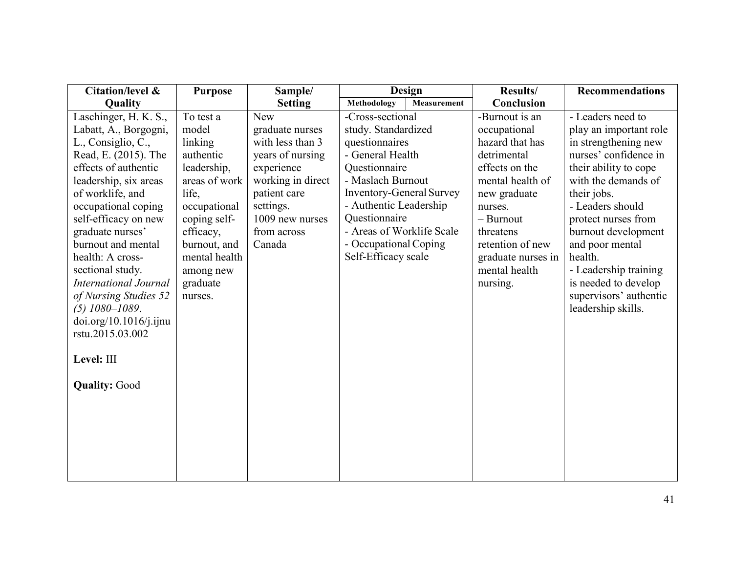| Citation/level &                                                                                                                                                                                                                                                                                                                                                                                                                                                    | <b>Purpose</b>                                                                                                                                                                                        | Sample/                                                                                                                                                                           | <b>Design</b>                                                                                                                                                                                                                                                                  | <b>Results/</b>                                                                                                                                                                                                                    | <b>Recommendations</b>                                                                                                                                                                                                                                                                                                                                       |
|---------------------------------------------------------------------------------------------------------------------------------------------------------------------------------------------------------------------------------------------------------------------------------------------------------------------------------------------------------------------------------------------------------------------------------------------------------------------|-------------------------------------------------------------------------------------------------------------------------------------------------------------------------------------------------------|-----------------------------------------------------------------------------------------------------------------------------------------------------------------------------------|--------------------------------------------------------------------------------------------------------------------------------------------------------------------------------------------------------------------------------------------------------------------------------|------------------------------------------------------------------------------------------------------------------------------------------------------------------------------------------------------------------------------------|--------------------------------------------------------------------------------------------------------------------------------------------------------------------------------------------------------------------------------------------------------------------------------------------------------------------------------------------------------------|
| Quality                                                                                                                                                                                                                                                                                                                                                                                                                                                             |                                                                                                                                                                                                       | <b>Setting</b>                                                                                                                                                                    | <b>Methodology</b><br>Measurement                                                                                                                                                                                                                                              | Conclusion                                                                                                                                                                                                                         |                                                                                                                                                                                                                                                                                                                                                              |
| Laschinger, H. K. S.,<br>Labatt, A., Borgogni,<br>L., Consiglio, C.,<br>Read, E. (2015). The<br>effects of authentic<br>leadership, six areas<br>of worklife, and<br>occupational coping<br>self-efficacy on new<br>graduate nurses'<br>burnout and mental<br>health: A cross-<br>sectional study.<br><b>International Journal</b><br>of Nursing Studies 52<br>$(5)$ 1080-1089.<br>doi.org/10.1016/j.ijnu<br>rstu.2015.03.002<br>Level: III<br><b>Quality: Good</b> | To test a<br>model<br>linking<br>authentic<br>leadership,<br>areas of work<br>life.<br>occupational<br>coping self-<br>efficacy,<br>burnout, and<br>mental health<br>among new<br>graduate<br>nurses. | <b>New</b><br>graduate nurses<br>with less than 3<br>years of nursing<br>experience<br>working in direct<br>patient care<br>settings.<br>1009 new nurses<br>from across<br>Canada | -Cross-sectional<br>study. Standardized<br>questionnaires<br>- General Health<br>Questionnaire<br>- Maslach Burnout<br><b>Inventory-General Survey</b><br>- Authentic Leadership<br>Questionnaire<br>- Areas of Worklife Scale<br>- Occupational Coping<br>Self-Efficacy scale | -Burnout is an<br>occupational<br>hazard that has<br>detrimental<br>effects on the<br>mental health of<br>new graduate<br>nurses.<br>- Burnout<br>threatens<br>retention of new<br>graduate nurses in<br>mental health<br>nursing. | - Leaders need to<br>play an important role<br>in strengthening new<br>nurses' confidence in<br>their ability to cope<br>with the demands of<br>their jobs.<br>- Leaders should<br>protect nurses from<br>burnout development<br>and poor mental<br>health.<br>- Leadership training<br>is needed to develop<br>supervisors' authentic<br>leadership skills. |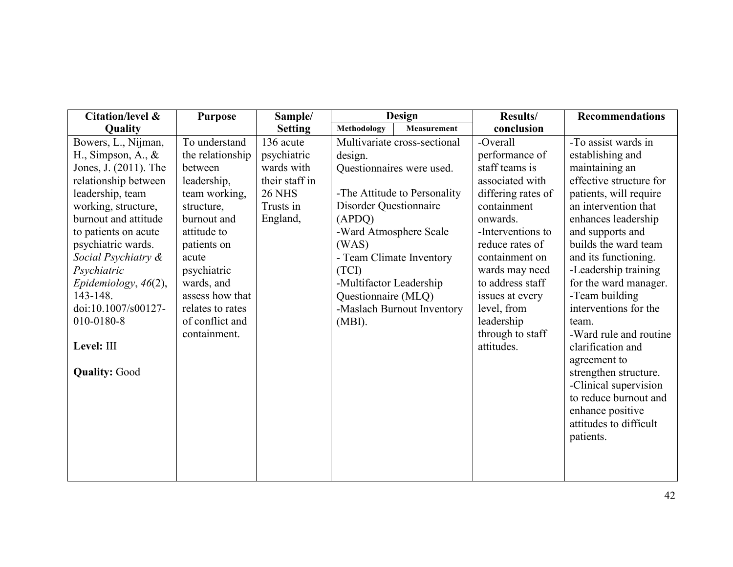| Citation/level &      | <b>Purpose</b>   | Sample/        |                               | Design                       | Results/           | <b>Recommendations</b>  |
|-----------------------|------------------|----------------|-------------------------------|------------------------------|--------------------|-------------------------|
| Quality               |                  | <b>Setting</b> | Methodology                   | <b>Measurement</b>           | conclusion         |                         |
| Bowers, L., Nijman,   | To understand    | 136 acute      |                               | Multivariate cross-sectional | -Overall           | -To assist wards in     |
| H., Simpson, A., $\&$ | the relationship | psychiatric    | design.                       |                              | performance of     | establishing and        |
| Jones, J. (2011). The | between          | wards with     |                               | Questionnaires were used.    | staff teams is     | maintaining an          |
| relationship between  | leadership,      | their staff in |                               |                              | associated with    | effective structure for |
| leadership, team      | team working,    | <b>26 NHS</b>  |                               | -The Attitude to Personality | differing rates of | patients, will require  |
| working, structure,   | structure,       | Trusts in      | <b>Disorder Questionnaire</b> |                              | containment        | an intervention that    |
| burnout and attitude  | burnout and      | England,       | (APDQ)                        |                              | onwards.           | enhances leadership     |
| to patients on acute  | attitude to      |                |                               | -Ward Atmosphere Scale       | -Interventions to  | and supports and        |
| psychiatric wards.    | patients on      |                | (WAS)                         |                              | reduce rates of    | builds the ward team    |
| Social Psychiatry &   | acute            |                |                               | - Team Climate Inventory     | containment on     | and its functioning.    |
| Psychiatric           | psychiatric      |                | (TCI)                         |                              | wards may need     | -Leadership training    |
| Epidemiology, 46(2),  | wards, and       |                | -Multifactor Leadership       |                              | to address staff   | for the ward manager.   |
| 143-148.              | assess how that  |                | Questionnaire (MLQ)           |                              | issues at every    | -Team building          |
| doi:10.1007/s00127-   | relates to rates |                |                               | -Maslach Burnout Inventory   | level, from        | interventions for the   |
| 010-0180-8            | of conflict and  |                | $(MBI)$ .                     |                              | leadership         | team.                   |
|                       | containment.     |                |                               |                              | through to staff   | -Ward rule and routine  |
| Level: III            |                  |                |                               |                              | attitudes.         | clarification and       |
|                       |                  |                |                               |                              |                    | agreement to            |
| <b>Quality: Good</b>  |                  |                |                               |                              |                    | strengthen structure.   |
|                       |                  |                |                               |                              |                    | -Clinical supervision   |
|                       |                  |                |                               |                              |                    | to reduce burnout and   |
|                       |                  |                |                               |                              |                    | enhance positive        |
|                       |                  |                |                               |                              |                    | attitudes to difficult  |
|                       |                  |                |                               |                              |                    | patients.               |
|                       |                  |                |                               |                              |                    |                         |
|                       |                  |                |                               |                              |                    |                         |
|                       |                  |                |                               |                              |                    |                         |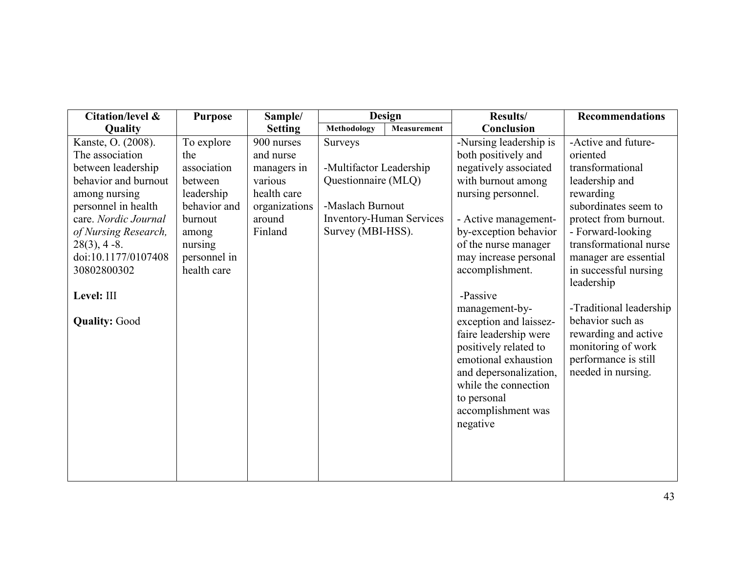| Citation/level &     | <b>Purpose</b> | Sample/        | Design                  |                                 | Results/               | <b>Recommendations</b>  |
|----------------------|----------------|----------------|-------------------------|---------------------------------|------------------------|-------------------------|
| Quality              |                | <b>Setting</b> | <b>Methodology</b>      | Measurement                     | Conclusion             |                         |
| Kanste, O. (2008).   | To explore     | 900 nurses     | Surveys                 |                                 | -Nursing leadership is | -Active and future-     |
| The association      | the            | and nurse      |                         |                                 | both positively and    | oriented                |
| between leadership   | association    | managers in    | -Multifactor Leadership |                                 | negatively associated  | transformational        |
| behavior and burnout | between        | various        | Questionnaire (MLQ)     |                                 | with burnout among     | leadership and          |
| among nursing        | leadership     | health care    |                         |                                 | nursing personnel.     | rewarding               |
| personnel in health  | behavior and   | organizations  | -Maslach Burnout        |                                 |                        | subordinates seem to    |
| care. Nordic Journal | burnout        | around         |                         | <b>Inventory-Human Services</b> | - Active management-   | protect from burnout.   |
| of Nursing Research, | among          | Finland        | Survey (MBI-HSS).       |                                 | by-exception behavior  | - Forward-looking       |
| $28(3)$ , 4 -8.      | nursing        |                |                         |                                 | of the nurse manager   | transformational nurse  |
| doi:10.1177/0107408  | personnel in   |                |                         |                                 | may increase personal  | manager are essential   |
| 30802800302          | health care    |                |                         |                                 | accomplishment.        | in successful nursing   |
|                      |                |                |                         |                                 |                        | leadership              |
| Level: III           |                |                |                         |                                 | -Passive               |                         |
|                      |                |                |                         |                                 | management-by-         | -Traditional leadership |
| <b>Quality: Good</b> |                |                |                         |                                 | exception and laissez- | behavior such as        |
|                      |                |                |                         |                                 | faire leadership were  | rewarding and active    |
|                      |                |                |                         |                                 | positively related to  | monitoring of work      |
|                      |                |                |                         |                                 | emotional exhaustion   | performance is still    |
|                      |                |                |                         |                                 | and depersonalization, | needed in nursing.      |
|                      |                |                |                         |                                 | while the connection   |                         |
|                      |                |                |                         |                                 | to personal            |                         |
|                      |                |                |                         |                                 | accomplishment was     |                         |
|                      |                |                |                         |                                 | negative               |                         |
|                      |                |                |                         |                                 |                        |                         |
|                      |                |                |                         |                                 |                        |                         |
|                      |                |                |                         |                                 |                        |                         |
|                      |                |                |                         |                                 |                        |                         |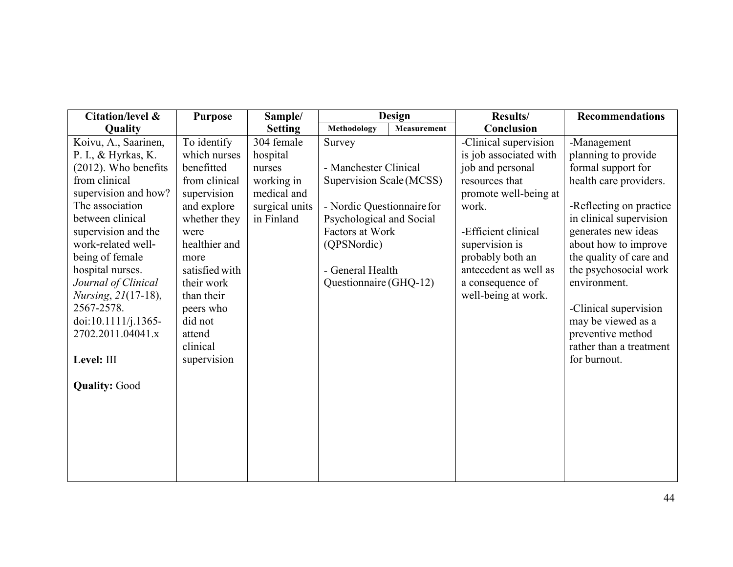| Citation/level &        | <b>Purpose</b> | Sample/        |                            | Design      | Results/               | <b>Recommendations</b>  |
|-------------------------|----------------|----------------|----------------------------|-------------|------------------------|-------------------------|
| Quality                 |                | <b>Setting</b> | Methodology                | Measurement | Conclusion             |                         |
| Koivu, A., Saarinen,    | To identify    | 304 female     | Survey                     |             | -Clinical supervision  | -Management             |
| P. I., & Hyrkas, K.     | which nurses   | hospital       |                            |             | is job associated with | planning to provide     |
| $(2012)$ . Who benefits | benefitted     | nurses         | - Manchester Clinical      |             | job and personal       | formal support for      |
| from clinical           | from clinical  | working in     | Supervision Scale (MCSS)   |             | resources that         | health care providers.  |
| supervision and how?    | supervision    | medical and    |                            |             | promote well-being at  |                         |
| The association         | and explore    | surgical units | - Nordic Questionnaire for |             | work.                  | -Reflecting on practice |
| between clinical        | whether they   | in Finland     | Psychological and Social   |             |                        | in clinical supervision |
| supervision and the     | were           |                | Factors at Work            |             | -Efficient clinical    | generates new ideas     |
| work-related well-      | healthier and  |                | (QPSNordic)                |             | supervision is         | about how to improve    |
| being of female         | more           |                |                            |             | probably both an       | the quality of care and |
| hospital nurses.        | satisfied with |                | - General Health           |             | antecedent as well as  | the psychosocial work   |
| Journal of Clinical     | their work     |                | Questionnaire (GHQ-12)     |             | a consequence of       | environment.            |
| Nursing, 21(17-18),     | than their     |                |                            |             | well-being at work.    |                         |
| 2567-2578.              | peers who      |                |                            |             |                        | -Clinical supervision   |
| doi:10.1111/j.1365-     | did not        |                |                            |             |                        | may be viewed as a      |
| 2702.2011.04041.x       | attend         |                |                            |             |                        | preventive method       |
|                         | clinical       |                |                            |             |                        | rather than a treatment |
| Level: III              | supervision    |                |                            |             |                        | for burnout.            |
| <b>Quality: Good</b>    |                |                |                            |             |                        |                         |
|                         |                |                |                            |             |                        |                         |
|                         |                |                |                            |             |                        |                         |
|                         |                |                |                            |             |                        |                         |
|                         |                |                |                            |             |                        |                         |
|                         |                |                |                            |             |                        |                         |
|                         |                |                |                            |             |                        |                         |
|                         |                |                |                            |             |                        |                         |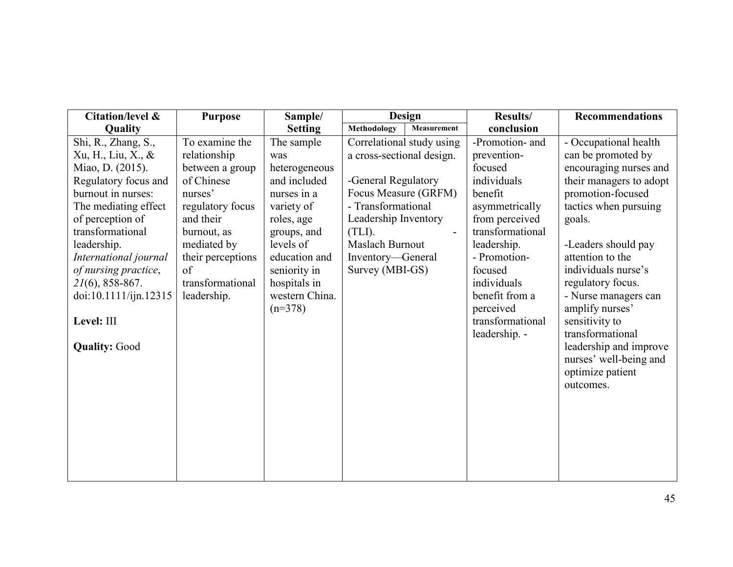| Citation/level &                     | <b>Purpose</b>    | Sample/        | <b>Design</b>             |             | Results/         | <b>Recommendations</b>  |
|--------------------------------------|-------------------|----------------|---------------------------|-------------|------------------|-------------------------|
| Quality                              |                   | <b>Setting</b> | Methodology               | Measurement | conclusion       |                         |
| Shi, R., Zhang, S.,                  | To examine the    | The sample     | Correlational study using |             | -Promotion- and  | - Occupational health   |
| Xu, H., Liu, X., &<br>relationship   |                   | was            | a cross-sectional design. |             | prevention-      | can be promoted by      |
| Miao, D. (2015).                     | between a group   | heterogeneous  |                           |             | focused          | encouraging nurses and  |
| Regulatory focus and<br>of Chinese   |                   | and included   | -General Regulatory       |             | individuals      | their managers to adopt |
| burnout in nurses:<br>nurses'        |                   | nurses in a    | Focus Measure (GRFM)      |             | benefit          | promotion-focused       |
| The mediating effect                 | regulatory focus  | variety of     | - Transformational        |             | asymmetrically   | tactics when pursuing   |
| of perception of<br>and their        |                   | roles, age     | Leadership Inventory      |             | from perceived   | goals.                  |
| transformational<br>burnout, as      |                   | groups, and    | (TLI).                    |             | transformational |                         |
| leadership.                          | mediated by       | levels of      | Maslach Burnout           |             | leadership.      | -Leaders should pay     |
| International journal                | their perceptions | education and  | Inventory—General         |             | - Promotion-     | attention to the        |
| of nursing practice,<br>of           |                   | seniority in   | Survey (MBI-GS)           |             | focused          | individuals nurse's     |
| $21(6)$ , 858-867.                   | transformational  | hospitals in   |                           |             | individuals      | regulatory focus.       |
| doi:10.1111/ijn.12315<br>leadership. |                   | western China. |                           |             | benefit from a   | - Nurse managers can    |
|                                      |                   | $(n=378)$      |                           |             | perceived        | amplify nurses'         |
| Level: III                           |                   |                |                           |             | transformational | sensitivity to          |
|                                      |                   |                |                           |             | leadership. -    | transformational        |
| <b>Quality: Good</b>                 |                   |                |                           |             |                  | leadership and improve  |
|                                      |                   |                |                           |             |                  | nurses' well-being and  |
|                                      |                   |                |                           |             |                  | optimize patient        |
|                                      |                   |                |                           |             |                  | outcomes.               |
|                                      |                   |                |                           |             |                  |                         |
|                                      |                   |                |                           |             |                  |                         |
|                                      |                   |                |                           |             |                  |                         |
|                                      |                   |                |                           |             |                  |                         |
|                                      |                   |                |                           |             |                  |                         |
|                                      |                   |                |                           |             |                  |                         |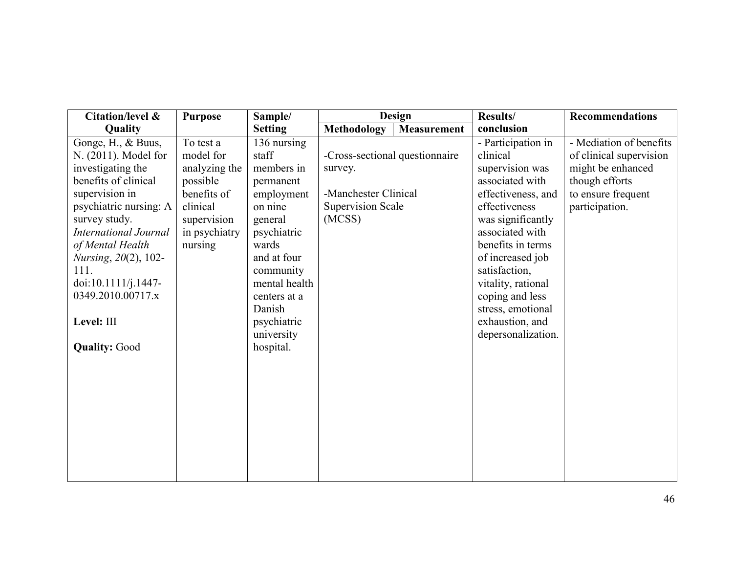| Citation/level &             | <b>Purpose</b> | Sample/                    |                                | <b>Design</b> | Results/                              | Recommendations         |
|------------------------------|----------------|----------------------------|--------------------------------|---------------|---------------------------------------|-------------------------|
| Quality                      |                | <b>Setting</b>             | <b>Methodology</b>             | Measurement   | conclusion                            |                         |
| Gonge, H., & Buus,           | To test a      | 136 nursing                |                                |               | - Participation in                    | - Mediation of benefits |
| N. (2011). Model for         | model for      | staff                      | -Cross-sectional questionnaire |               | clinical                              | of clinical supervision |
| investigating the            | analyzing the  | members in                 | survey.                        |               | supervision was                       | might be enhanced       |
| benefits of clinical         | possible       | permanent                  |                                |               | associated with                       | though efforts          |
| supervision in               | benefits of    | employment                 | -Manchester Clinical           |               | effectiveness, and                    | to ensure frequent      |
| psychiatric nursing: A       | clinical       | on nine                    | <b>Supervision Scale</b>       |               | effectiveness                         | participation.          |
| survey study.                | supervision    | general                    | (MCSS)                         |               | was significantly                     |                         |
| <b>International Journal</b> | in psychiatry  | psychiatric                |                                |               | associated with                       |                         |
| of Mental Health             | nursing        | wards                      |                                |               | benefits in terms                     |                         |
| <i>Nursing</i> , 20(2), 102- |                | and at four                |                                |               | of increased job                      |                         |
| 111.<br>doi:10.1111/j.1447-  |                | community<br>mental health |                                |               | satisfaction,                         |                         |
| 0349.2010.00717.x            |                | centers at a               |                                |               | vitality, rational<br>coping and less |                         |
|                              |                | Danish                     |                                |               | stress, emotional                     |                         |
| Level: III                   |                | psychiatric                |                                |               | exhaustion, and                       |                         |
|                              |                | university                 |                                |               | depersonalization.                    |                         |
| <b>Quality: Good</b>         |                | hospital.                  |                                |               |                                       |                         |
|                              |                |                            |                                |               |                                       |                         |
|                              |                |                            |                                |               |                                       |                         |
|                              |                |                            |                                |               |                                       |                         |
|                              |                |                            |                                |               |                                       |                         |
|                              |                |                            |                                |               |                                       |                         |
|                              |                |                            |                                |               |                                       |                         |
|                              |                |                            |                                |               |                                       |                         |
|                              |                |                            |                                |               |                                       |                         |
|                              |                |                            |                                |               |                                       |                         |
|                              |                |                            |                                |               |                                       |                         |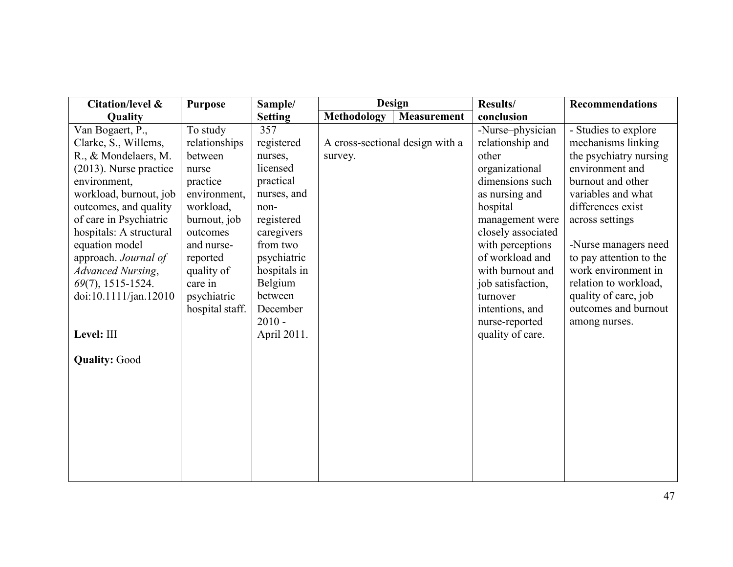| Citation/level &          | <b>Purpose</b>  | Sample/        | <b>Design</b>      |                                 | Results/           | <b>Recommendations</b>  |
|---------------------------|-----------------|----------------|--------------------|---------------------------------|--------------------|-------------------------|
| Quality                   |                 | <b>Setting</b> | <b>Methodology</b> | <b>Measurement</b>              | conclusion         |                         |
| Van Bogaert, P.,          | To study        | 357            |                    |                                 | -Nurse-physician   | - Studies to explore    |
| Clarke, S., Willems,      | relationships   | registered     |                    | A cross-sectional design with a | relationship and   | mechanisms linking      |
| R., & Mondelaers, M.      | between         | nurses,        | survey.            |                                 | other              | the psychiatry nursing  |
| $(2013)$ . Nurse practice | nurse           | licensed       |                    |                                 | organizational     | environment and         |
| environment,              | practice        | practical      |                    |                                 | dimensions such    | burnout and other       |
| workload, burnout, job    | environment.    | nurses, and    |                    |                                 | as nursing and     | variables and what      |
| outcomes, and quality     | workload,       | non-           |                    |                                 | hospital           | differences exist       |
| of care in Psychiatric    | burnout, job    | registered     |                    |                                 | management were    | across settings         |
| hospitals: A structural   | outcomes        | caregivers     |                    |                                 | closely associated |                         |
| equation model            | and nurse-      | from two       |                    |                                 | with perceptions   | -Nurse managers need    |
| approach. Journal of      | reported        | psychiatric    |                    |                                 | of workload and    | to pay attention to the |
| <b>Advanced Nursing,</b>  | quality of      | hospitals in   |                    |                                 | with burnout and   | work environment in     |
| 69(7), 1515-1524.         | care in         | Belgium        |                    |                                 | job satisfaction,  | relation to workload,   |
| doi:10.1111/jan.12010     | psychiatric     | between        |                    |                                 | turnover           | quality of care, job    |
|                           | hospital staff. | December       |                    |                                 | intentions, and    | outcomes and burnout    |
|                           |                 | $2010 -$       |                    |                                 | nurse-reported     | among nurses.           |
| Level: III                |                 | April 2011.    |                    |                                 | quality of care.   |                         |
|                           |                 |                |                    |                                 |                    |                         |
| <b>Quality: Good</b>      |                 |                |                    |                                 |                    |                         |
|                           |                 |                |                    |                                 |                    |                         |
|                           |                 |                |                    |                                 |                    |                         |
|                           |                 |                |                    |                                 |                    |                         |
|                           |                 |                |                    |                                 |                    |                         |
|                           |                 |                |                    |                                 |                    |                         |
|                           |                 |                |                    |                                 |                    |                         |
|                           |                 |                |                    |                                 |                    |                         |
|                           |                 |                |                    |                                 |                    |                         |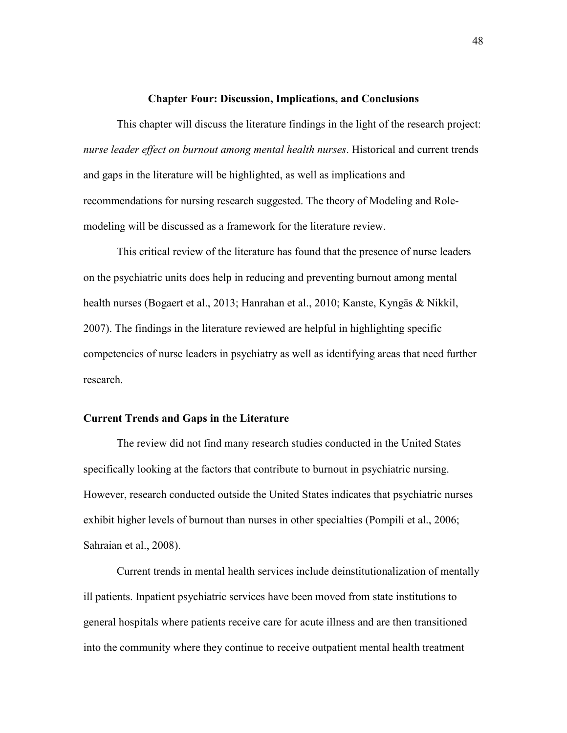#### **Chapter Four: Discussion, Implications, and Conclusions**

<span id="page-48-0"></span>This chapter will discuss the literature findings in the light of the research project: *nurse leader effect on burnout among mental health nurses*. Historical and current trends and gaps in the literature will be highlighted, as well as implications and recommendations for nursing research suggested. The theory of Modeling and Rolemodeling will be discussed as a framework for the literature review.

This critical review of the literature has found that the presence of nurse leaders on the psychiatric units does help in reducing and preventing burnout among mental health nurses (Bogaert et al., 2013; Hanrahan et al., 2010; Kanste, Kyngäs & Nikkil, 2007). The findings in the literature reviewed are helpful in highlighting specific competencies of nurse leaders in psychiatry as well as identifying areas that need further research.

#### **Current Trends and Gaps in the Literature**

The review did not find many research studies conducted in the United States specifically looking at the factors that contribute to burnout in psychiatric nursing. However, research conducted outside the United States indicates that psychiatric nurses exhibit higher levels of burnout than nurses in other specialties (Pompili et al., 2006; Sahraian et al., 2008).

Current trends in mental health services include deinstitutionalization of mentally ill patients. Inpatient psychiatric services have been moved from state institutions to general hospitals where patients receive care for acute illness and are then transitioned into the community where they continue to receive outpatient mental health treatment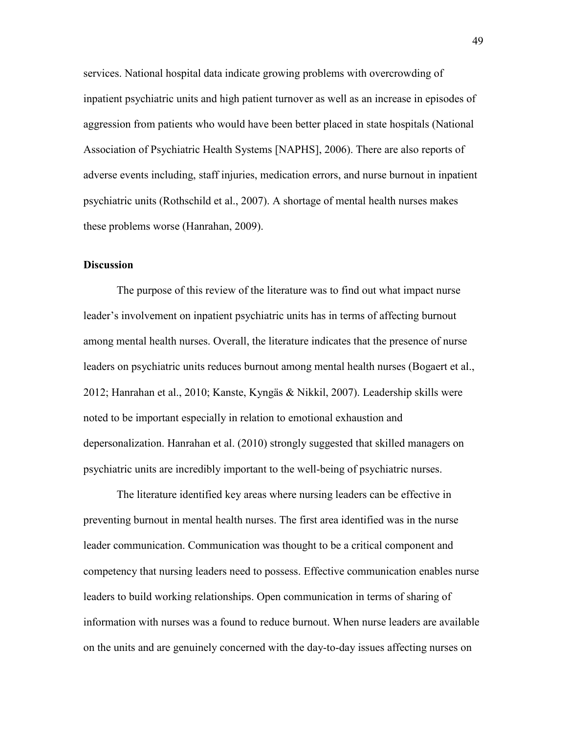services. National hospital data indicate growing problems with overcrowding of inpatient psychiatric units and high patient turnover as well as an increase in episodes of aggression from patients who would have been better placed in state hospitals (National Association of Psychiatric Health Systems [NAPHS], 2006). There are also reports of adverse events including, staff injuries, medication errors, and nurse burnout in inpatient psychiatric units (Rothschild et al., 2007). A shortage of mental health nurses makes these problems worse (Hanrahan, 2009).

#### <span id="page-49-0"></span>**Discussion**

The purpose of this review of the literature was to find out what impact nurse leader's involvement on inpatient psychiatric units has in terms of affecting burnout among mental health nurses. Overall, the literature indicates that the presence of nurse leaders on psychiatric units reduces burnout among mental health nurses (Bogaert et al., 2012; Hanrahan et al., 2010; Kanste, Kyngäs & Nikkil, 2007). Leadership skills were noted to be important especially in relation to emotional exhaustion and depersonalization. Hanrahan et al. (2010) strongly suggested that skilled managers on psychiatric units are incredibly important to the well-being of psychiatric nurses.

The literature identified key areas where nursing leaders can be effective in preventing burnout in mental health nurses. The first area identified was in the nurse leader communication. Communication was thought to be a critical component and competency that nursing leaders need to possess. Effective communication enables nurse leaders to build working relationships. Open communication in terms of sharing of information with nurses was a found to reduce burnout. When nurse leaders are available on the units and are genuinely concerned with the day-to-day issues affecting nurses on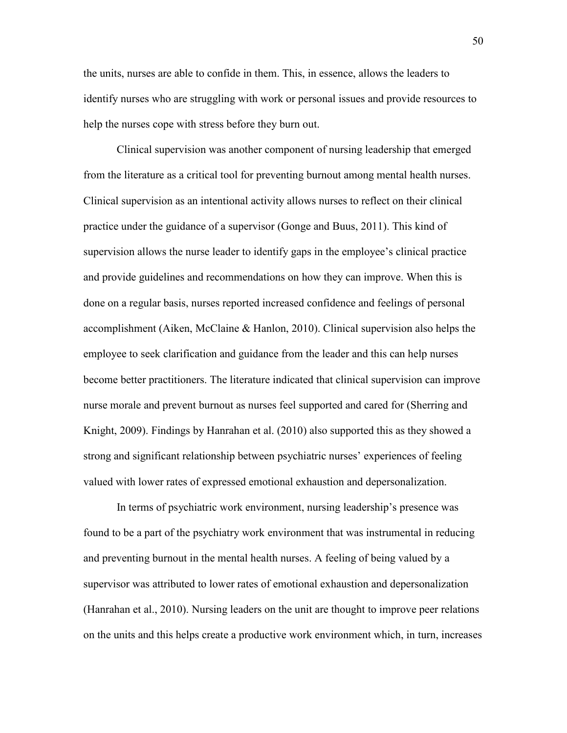the units, nurses are able to confide in them. This, in essence, allows the leaders to identify nurses who are struggling with work or personal issues and provide resources to help the nurses cope with stress before they burn out.

Clinical supervision was another component of nursing leadership that emerged from the literature as a critical tool for preventing burnout among mental health nurses. Clinical supervision as an intentional activity allows nurses to reflect on their clinical practice under the guidance of a supervisor (Gonge and Buus, 2011). This kind of supervision allows the nurse leader to identify gaps in the employee's clinical practice and provide guidelines and recommendations on how they can improve. When this is done on a regular basis, nurses reported increased confidence and feelings of personal accomplishment (Aiken, McClaine & Hanlon, 2010). Clinical supervision also helps the employee to seek clarification and guidance from the leader and this can help nurses become better practitioners. The literature indicated that clinical supervision can improve nurse morale and prevent burnout as nurses feel supported and cared for (Sherring and Knight, 2009). Findings by Hanrahan et al. (2010) also supported this as they showed a strong and significant relationship between psychiatric nurses' experiences of feeling valued with lower rates of expressed emotional exhaustion and depersonalization.

In terms of psychiatric work environment, nursing leadership's presence was found to be a part of the psychiatry work environment that was instrumental in reducing and preventing burnout in the mental health nurses. A feeling of being valued by a supervisor was attributed to lower rates of emotional exhaustion and depersonalization (Hanrahan et al., 2010). Nursing leaders on the unit are thought to improve peer relations on the units and this helps create a productive work environment which, in turn, increases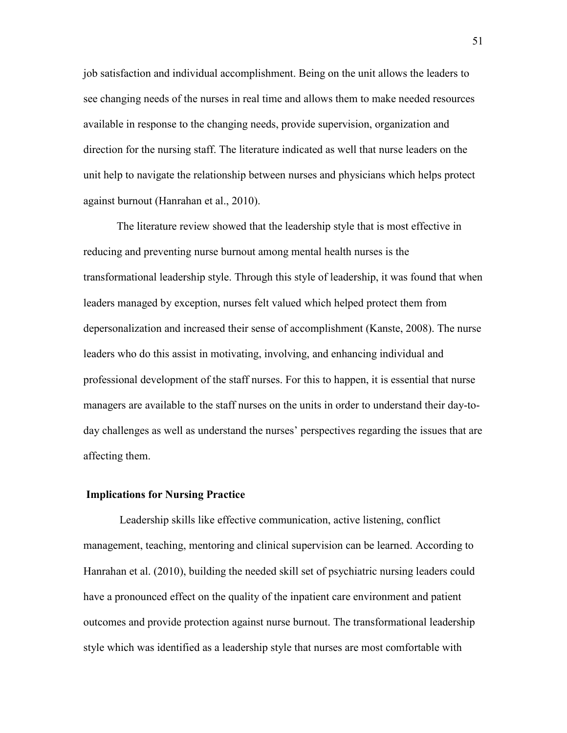job satisfaction and individual accomplishment. Being on the unit allows the leaders to see changing needs of the nurses in real time and allows them to make needed resources available in response to the changing needs, provide supervision, organization and direction for the nursing staff. The literature indicated as well that nurse leaders on the unit help to navigate the relationship between nurses and physicians which helps protect against burnout (Hanrahan et al., 2010).

The literature review showed that the leadership style that is most effective in reducing and preventing nurse burnout among mental health nurses is the transformational leadership style. Through this style of leadership, it was found that when leaders managed by exception, nurses felt valued which helped protect them from depersonalization and increased their sense of accomplishment (Kanste, 2008). The nurse leaders who do this assist in motivating, involving, and enhancing individual and professional development of the staff nurses. For this to happen, it is essential that nurse managers are available to the staff nurses on the units in order to understand their day-today challenges as well as understand the nurses' perspectives regarding the issues that are affecting them.

#### <span id="page-51-0"></span>**Implications for Nursing Practice**

Leadership skills like effective communication, active listening, conflict management, teaching, mentoring and clinical supervision can be learned. According to Hanrahan et al. (2010), building the needed skill set of psychiatric nursing leaders could have a pronounced effect on the quality of the inpatient care environment and patient outcomes and provide protection against nurse burnout. The transformational leadership style which was identified as a leadership style that nurses are most comfortable with

51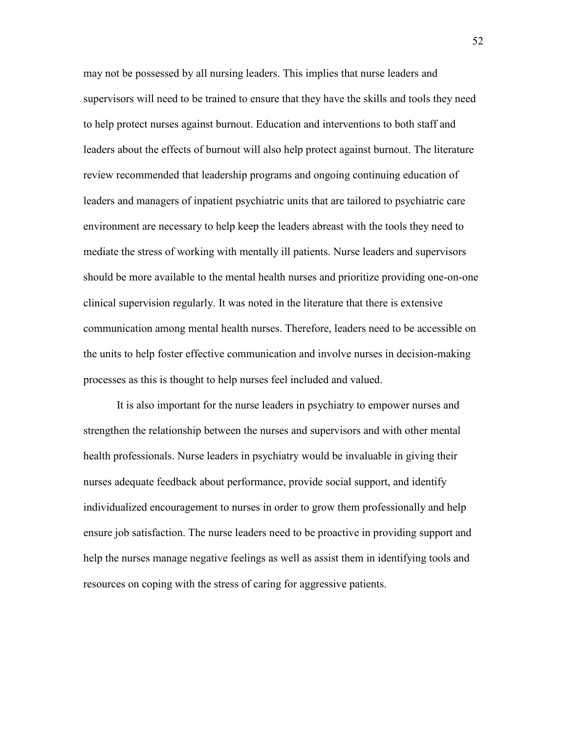may not be possessed by all nursing leaders. This implies that nurse leaders and supervisors will need to be trained to ensure that they have the skills and tools they need to help protect nurses against burnout. Education and interventions to both staff and leaders about the effects of burnout will also help protect against burnout. The literature review recommended that leadership programs and ongoing continuing education of leaders and managers of inpatient psychiatric units that are tailored to psychiatric care environment are necessary to help keep the leaders abreast with the tools they need to mediate the stress of working with mentally ill patients. Nurse leaders and supervisors should be more available to the mental health nurses and prioritize providing one-on-one clinical supervision regularly. It was noted in the literature that there is extensive communication among mental health nurses. Therefore, leaders need to be accessible on the units to help foster effective communication and involve nurses in decision-making processes as this is thought to help nurses feel included and valued.

It is also important for the nurse leaders in psychiatry to empower nurses and strengthen the relationship between the nurses and supervisors and with other mental health professionals. Nurse leaders in psychiatry would be invaluable in giving their nurses adequate feedback about performance, provide social support, and identify individualized encouragement to nurses in order to grow them professionally and help ensure job satisfaction. The nurse leaders need to be proactive in providing support and help the nurses manage negative feelings as well as assist them in identifying tools and resources on coping with the stress of caring for aggressive patients.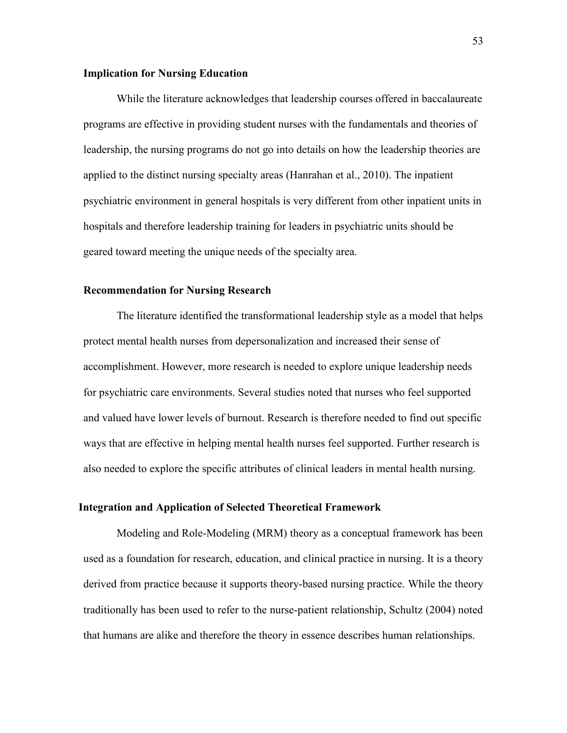#### <span id="page-53-0"></span>**Implication for Nursing Education**

While the literature acknowledges that leadership courses offered in baccalaureate programs are effective in providing student nurses with the fundamentals and theories of leadership, the nursing programs do not go into details on how the leadership theories are applied to the distinct nursing specialty areas (Hanrahan et al., 2010). The inpatient psychiatric environment in general hospitals is very different from other inpatient units in hospitals and therefore leadership training for leaders in psychiatric units should be geared toward meeting the unique needs of the specialty area.

#### <span id="page-53-1"></span>**Recommendation for Nursing Research**

The literature identified the transformational leadership style as a model that helps protect mental health nurses from depersonalization and increased their sense of accomplishment. However, more research is needed to explore unique leadership needs for psychiatric care environments. Several studies noted that nurses who feel supported and valued have lower levels of burnout. Research is therefore needed to find out specific ways that are effective in helping mental health nurses feel supported. Further research is also needed to explore the specific attributes of clinical leaders in mental health nursing.

#### **Integration and Application of Selected Theoretical Framework**

Modeling and Role-Modeling (MRM) theory as a conceptual framework has been used as a foundation for research, education, and clinical practice in nursing. It is a theory derived from practice because it supports theory-based nursing practice. While the theory traditionally has been used to refer to the nurse-patient relationship, Schultz (2004) noted that humans are alike and therefore the theory in essence describes human relationships.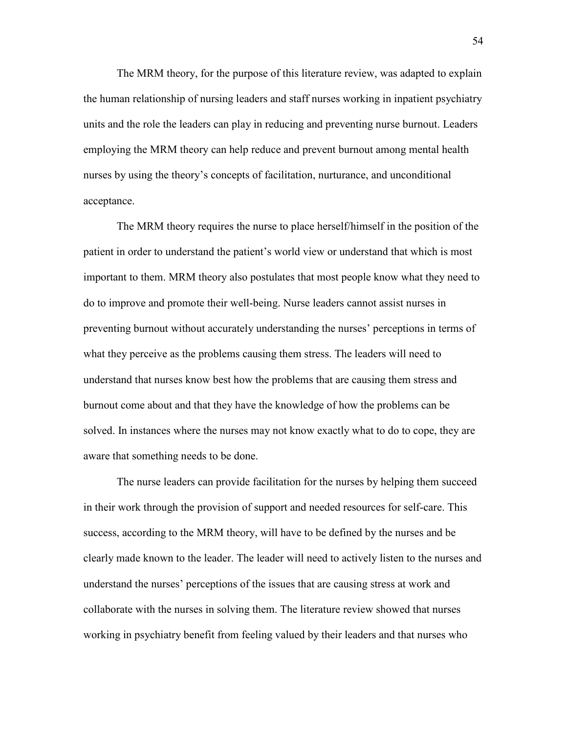The MRM theory, for the purpose of this literature review, was adapted to explain the human relationship of nursing leaders and staff nurses working in inpatient psychiatry units and the role the leaders can play in reducing and preventing nurse burnout. Leaders employing the MRM theory can help reduce and prevent burnout among mental health nurses by using the theory's concepts of facilitation, nurturance, and unconditional acceptance.

The MRM theory requires the nurse to place herself/himself in the position of the patient in order to understand the patient's world view or understand that which is most important to them. MRM theory also postulates that most people know what they need to do to improve and promote their well-being. Nurse leaders cannot assist nurses in preventing burnout without accurately understanding the nurses' perceptions in terms of what they perceive as the problems causing them stress. The leaders will need to understand that nurses know best how the problems that are causing them stress and burnout come about and that they have the knowledge of how the problems can be solved. In instances where the nurses may not know exactly what to do to cope, they are aware that something needs to be done.

The nurse leaders can provide facilitation for the nurses by helping them succeed in their work through the provision of support and needed resources for self-care. This success, according to the MRM theory, will have to be defined by the nurses and be clearly made known to the leader. The leader will need to actively listen to the nurses and understand the nurses' perceptions of the issues that are causing stress at work and collaborate with the nurses in solving them. The literature review showed that nurses working in psychiatry benefit from feeling valued by their leaders and that nurses who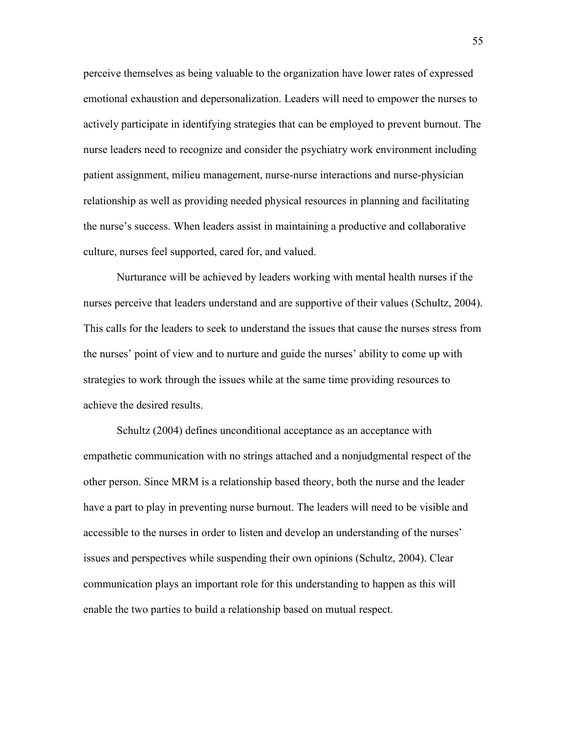perceive themselves as being valuable to the organization have lower rates of expressed emotional exhaustion and depersonalization. Leaders will need to empower the nurses to actively participate in identifying strategies that can be employed to prevent burnout. The nurse leaders need to recognize and consider the psychiatry work environment including patient assignment, milieu management, nurse-nurse interactions and nurse-physician relationship as well as providing needed physical resources in planning and facilitating the nurse's success. When leaders assist in maintaining a productive and collaborative culture, nurses feel supported, cared for, and valued.

Nurturance will be achieved by leaders working with mental health nurses if the nurses perceive that leaders understand and are supportive of their values (Schultz, 2004). This calls for the leaders to seek to understand the issues that cause the nurses stress from the nurses' point of view and to nurture and guide the nurses' ability to come up with strategies to work through the issues while at the same time providing resources to achieve the desired results.

Schultz (2004) defines unconditional acceptance as an acceptance with empathetic communication with no strings attached and a nonjudgmental respect of the other person. Since MRM is a relationship based theory, both the nurse and the leader have a part to play in preventing nurse burnout. The leaders will need to be visible and accessible to the nurses in order to listen and develop an understanding of the nurses' issues and perspectives while suspending their own opinions (Schultz, 2004). Clear communication plays an important role for this understanding to happen as this will enable the two parties to build a relationship based on mutual respect.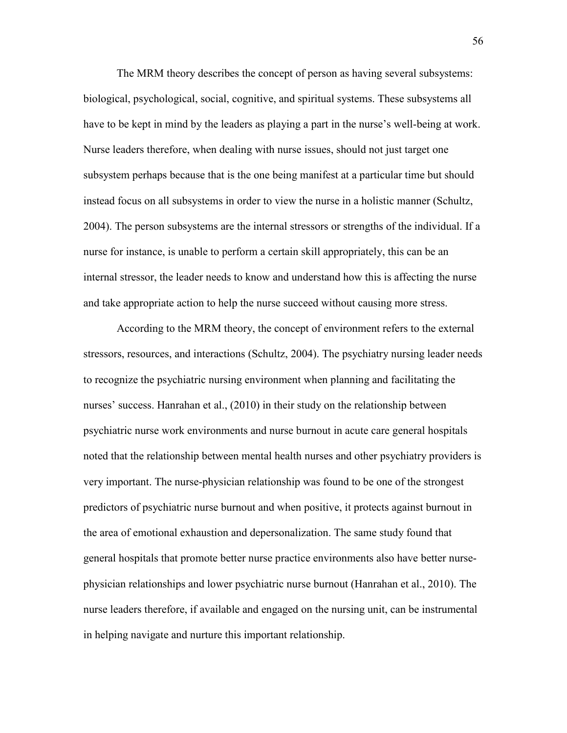The MRM theory describes the concept of person as having several subsystems: biological, psychological, social, cognitive, and spiritual systems. These subsystems all have to be kept in mind by the leaders as playing a part in the nurse's well-being at work. Nurse leaders therefore, when dealing with nurse issues, should not just target one subsystem perhaps because that is the one being manifest at a particular time but should instead focus on all subsystems in order to view the nurse in a holistic manner (Schultz, 2004). The person subsystems are the internal stressors or strengths of the individual. If a nurse for instance, is unable to perform a certain skill appropriately, this can be an internal stressor, the leader needs to know and understand how this is affecting the nurse and take appropriate action to help the nurse succeed without causing more stress.

According to the MRM theory, the concept of environment refers to the external stressors, resources, and interactions (Schultz, 2004). The psychiatry nursing leader needs to recognize the psychiatric nursing environment when planning and facilitating the nurses' success. Hanrahan et al., (2010) in their study on the relationship between psychiatric nurse work environments and nurse burnout in acute care general hospitals noted that the relationship between mental health nurses and other psychiatry providers is very important. The nurse-physician relationship was found to be one of the strongest predictors of psychiatric nurse burnout and when positive, it protects against burnout in the area of emotional exhaustion and depersonalization. The same study found that general hospitals that promote better nurse practice environments also have better nursephysician relationships and lower psychiatric nurse burnout (Hanrahan et al., 2010). The nurse leaders therefore, if available and engaged on the nursing unit, can be instrumental in helping navigate and nurture this important relationship.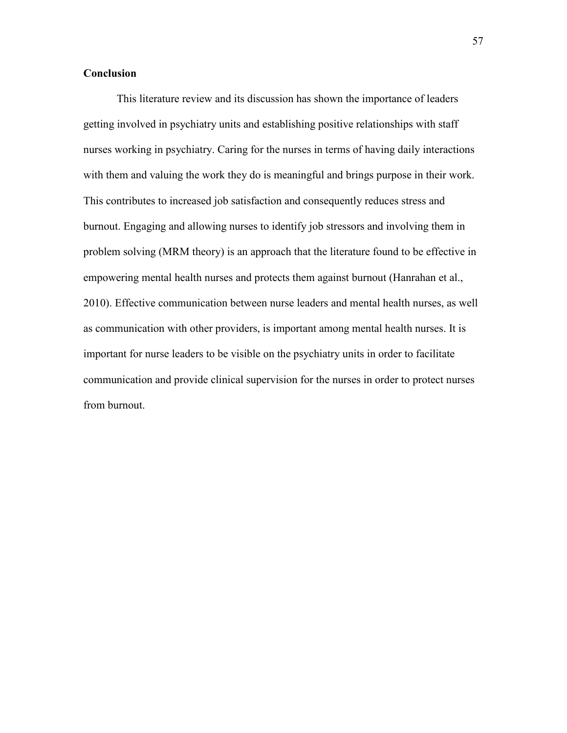#### <span id="page-57-0"></span>**Conclusion**

This literature review and its discussion has shown the importance of leaders getting involved in psychiatry units and establishing positive relationships with staff nurses working in psychiatry. Caring for the nurses in terms of having daily interactions with them and valuing the work they do is meaningful and brings purpose in their work. This contributes to increased job satisfaction and consequently reduces stress and burnout. Engaging and allowing nurses to identify job stressors and involving them in problem solving (MRM theory) is an approach that the literature found to be effective in empowering mental health nurses and protects them against burnout (Hanrahan et al., 2010). Effective communication between nurse leaders and mental health nurses, as well as communication with other providers, is important among mental health nurses. It is important for nurse leaders to be visible on the psychiatry units in order to facilitate communication and provide clinical supervision for the nurses in order to protect nurses from burnout.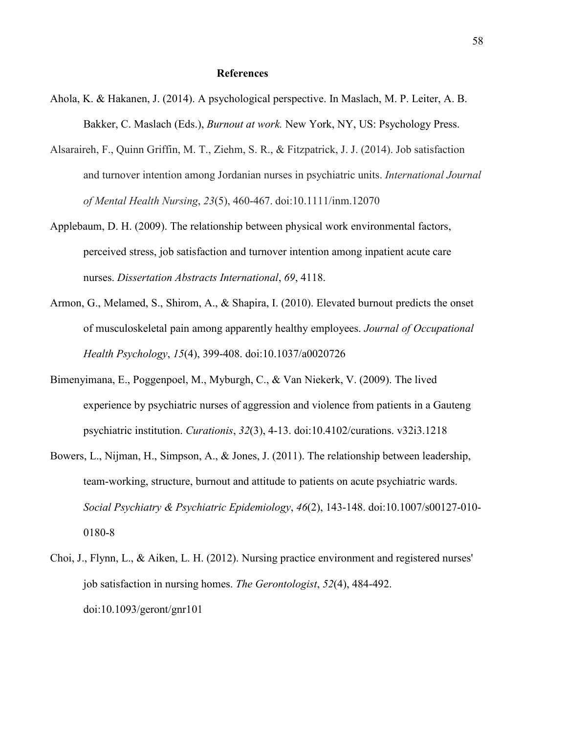#### **References**

- Ahola, K. & Hakanen, J. (2014). A psychological perspective. In Maslach, M. P. Leiter, A. B. Bakker, C. Maslach (Eds.), *Burnout at work.* New York, NY, US: Psychology Press.
- Alsaraireh, F., Quinn Griffin, M. T., Ziehm, S. R., & Fitzpatrick, J. J. (2014). Job satisfaction and turnover intention among Jordanian nurses in psychiatric units. *International Journal of Mental Health Nursing*, *23*(5), 460-467. doi:10.1111/inm.12070
- Applebaum, D. H. (2009). The relationship between physical work environmental factors, perceived stress, job satisfaction and turnover intention among inpatient acute care nurses. *Dissertation Abstracts International*, *69*, 4118.
- Armon, G., Melamed, S., Shirom, A., & Shapira, I. (2010). Elevated burnout predicts the onset of musculoskeletal pain among apparently healthy employees. *Journal of Occupational Health Psychology*, *15*(4), 399-408. doi:10.1037/a0020726
- Bimenyimana, E., Poggenpoel, M., Myburgh, C., & Van Niekerk, V. (2009). The lived experience by psychiatric nurses of aggression and violence from patients in a Gauteng psychiatric institution. *Curationis*, *32*(3), 4-13. doi:10.4102/curations. v32i3.1218
- Bowers, L., Nijman, H., Simpson, A., & Jones, J. (2011). The relationship between leadership, team-working, structure, burnout and attitude to patients on acute psychiatric wards. *Social Psychiatry & Psychiatric Epidemiology*, *46*(2), 143-148. doi:10.1007/s00127-010- 0180-8
- Choi, J., Flynn, L., & Aiken, L. H. (2012). Nursing practice environment and registered nurses' job satisfaction in nursing homes. *The Gerontologist*, *52*(4), 484-492. doi:10.1093/geront/gnr101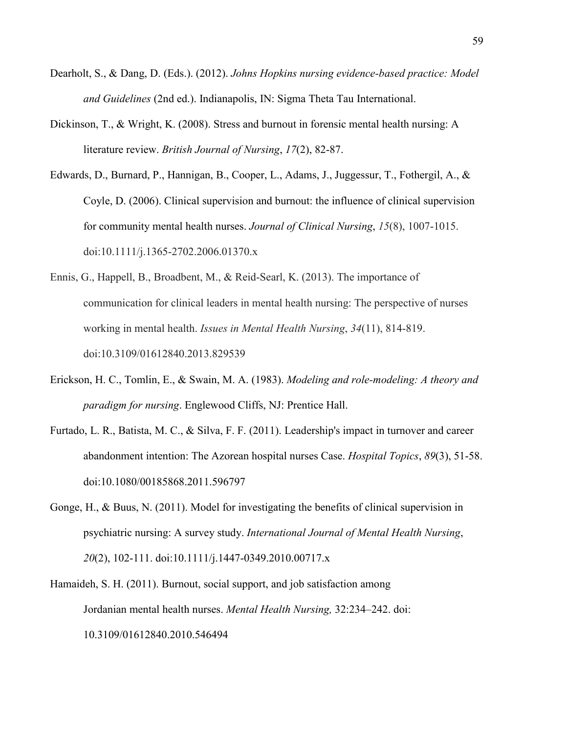- Dearholt, S., & Dang, D. (Eds.). (2012). *Johns Hopkins nursing evidence-based practice: Model and Guidelines* (2nd ed.). Indianapolis, IN: Sigma Theta Tau International.
- Dickinson, T., & Wright, K. (2008). Stress and burnout in forensic mental health nursing: A literature review. *British Journal of Nursing*, *17*(2), 82-87.
- Edwards, D., Burnard, P., Hannigan, B., Cooper, L., Adams, J., Juggessur, T., Fothergil, A., & Coyle, D. (2006). Clinical supervision and burnout: the influence of clinical supervision for community mental health nurses. *Journal of Clinical Nursing*, *15*(8), 1007-1015. doi:10.1111/j.1365-2702.2006.01370.x
- Ennis, G., Happell, B., Broadbent, M., & Reid-Searl, K. (2013). The importance of communication for clinical leaders in mental health nursing: The perspective of nurses working in mental health. *Issues in Mental Health Nursing*, *34*(11), 814-819. doi:10.3109/01612840.2013.829539
- Erickson, H. C., Tomlin, E., & Swain, M. A. (1983). *Modeling and role-modeling: A theory and paradigm for nursing*. Englewood Cliffs, NJ: Prentice Hall.
- Furtado, L. R., Batista, M. C., & Silva, F. F. (2011). Leadership's impact in turnover and career abandonment intention: The Azorean hospital nurses Case. *Hospital Topics*, *89*(3), 51-58. doi:10.1080/00185868.2011.596797
- Gonge, H., & Buus, N. (2011). Model for investigating the benefits of clinical supervision in psychiatric nursing: A survey study. *International Journal of Mental Health Nursing*, *20*(2), 102-111. doi:10.1111/j.1447-0349.2010.00717.x
- Hamaideh, S. H. (2011). Burnout, social support, and job satisfaction among Jordanian mental health nurses. *Mental Health Nursing,* 32:234–242. doi: 10.3109/01612840.2010.546494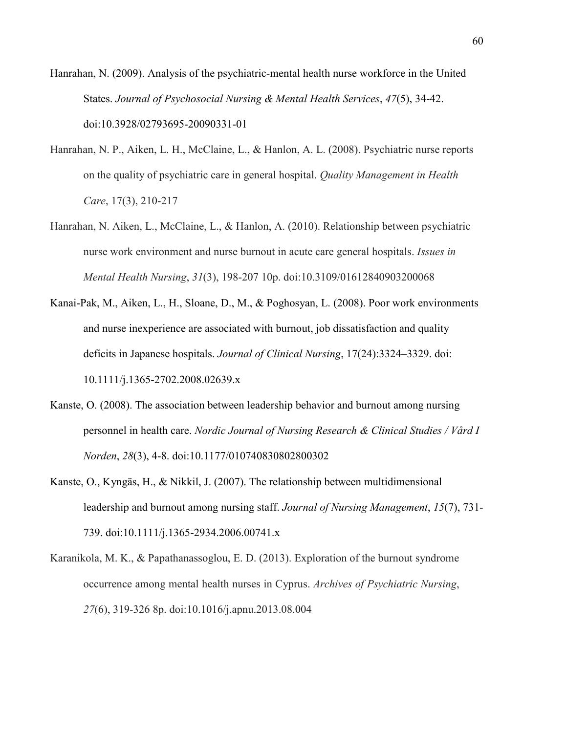Hanrahan, N. (2009). Analysis of the psychiatric-mental health nurse workforce in the United States. *Journal of Psychosocial Nursing & Mental Health Services*, *47*(5), 34-42. doi:10.3928/02793695-20090331-01

- Hanrahan, N. P., Aiken, L. H., McClaine, L., & Hanlon, A. L. (2008). Psychiatric nurse reports on the quality of psychiatric care in general hospital. *Quality Management in Health Care*, 17(3), 210-217
- Hanrahan, N. Aiken, L., McClaine, L., & Hanlon, A. (2010). Relationship between psychiatric nurse work environment and nurse burnout in acute care general hospitals. *Issues in Mental Health Nursing*, *31*(3), 198-207 10p. doi:10.3109/01612840903200068
- Kanai-Pak, M., Aiken, L., H., Sloane, D., M., & Poghosyan, L. (2008). Poor work environments and nurse inexperience are associated with burnout, job dissatisfaction and quality deficits in Japanese hospitals. *Journal of Clinical Nursing*, 17(24):3324–3329. doi: 10.1111/j.1365-2702.2008.02639.x
- Kanste, O. (2008). The association between leadership behavior and burnout among nursing personnel in health care. *Nordic Journal of Nursing Research & Clinical Studies / Vård I Norden*, *28*(3), 4-8. doi:10.1177/010740830802800302
- Kanste, O., Kyngäs, H., & Nikkil, J. (2007). The relationship between multidimensional leadership and burnout among nursing staff. *Journal of Nursing Management*, *15*(7), 731- 739. doi:10.1111/j.1365-2934.2006.00741.x
- Karanikola, M. K., & Papathanassoglou, E. D. (2013). Exploration of the burnout syndrome occurrence among mental health nurses in Cyprus. *Archives of Psychiatric Nursing*, *27*(6), 319-326 8p. doi:10.1016/j.apnu.2013.08.004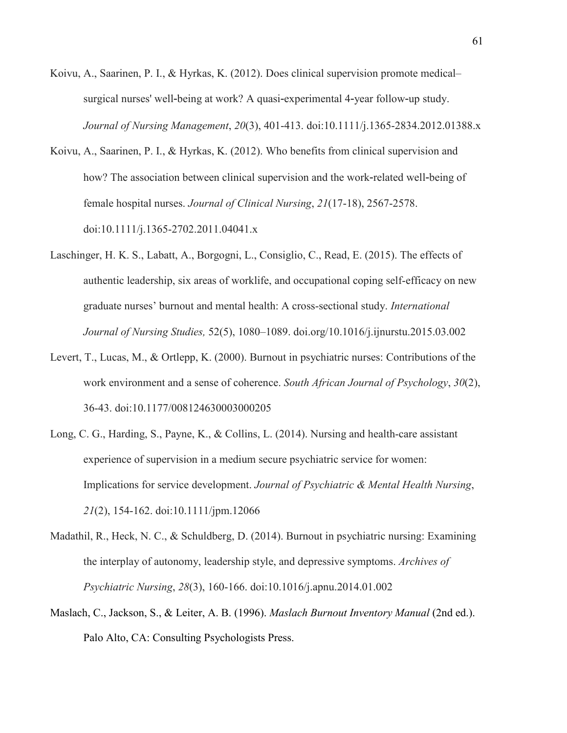- Koivu, A., Saarinen, P. I., & Hyrkas, K. (2012). Does clinical supervision promote medical– surgical nurses' well-being at work? A quasi-experimental 4-year follow-up study. *Journal of Nursing Management*, *20*(3), 401-413. doi:10.1111/j.1365-2834.2012.01388.x
- Koivu, A., Saarinen, P. I., & Hyrkas, K. (2012). Who benefits from clinical supervision and how? The association between clinical supervision and the work-related well-being of female hospital nurses. *Journal of Clinical Nursing*, *21*(17-18), 2567-2578. doi:10.1111/j.1365-2702.2011.04041.x
- Laschinger, H. K. S., Labatt, A., Borgogni, L., Consiglio, C., Read, E. (2015). The effects of authentic leadership, six areas of worklife, and occupational coping self-efficacy on new graduate nurses' burnout and mental health: A cross-sectional study. *International Journal of Nursing Studies,* 52(5), 1080–1089. doi.org/10.1016/j.ijnurstu.2015.03.002
- Levert, T., Lucas, M., & Ortlepp, K. (2000). Burnout in psychiatric nurses: Contributions of the work environment and a sense of coherence. *South African Journal of Psychology*, *30*(2), 36-43. doi:10.1177/008124630003000205
- Long, C. G., Harding, S., Payne, K., & Collins, L. (2014). Nursing and health-care assistant experience of supervision in a medium secure psychiatric service for women: Implications for service development. *Journal of Psychiatric & Mental Health Nursing*, *21*(2), 154-162. doi:10.1111/jpm.12066
- Madathil, R., Heck, N. C., & Schuldberg, D. (2014). Burnout in psychiatric nursing: Examining the interplay of autonomy, leadership style, and depressive symptoms. *Archives of Psychiatric Nursing*, *28*(3), 160-166. doi:10.1016/j.apnu.2014.01.002
- Maslach, C., Jackson, S., & Leiter, A. B. (1996). *Maslach Burnout Inventory Manual* (2nd ed.). Palo Alto, CA: Consulting Psychologists Press.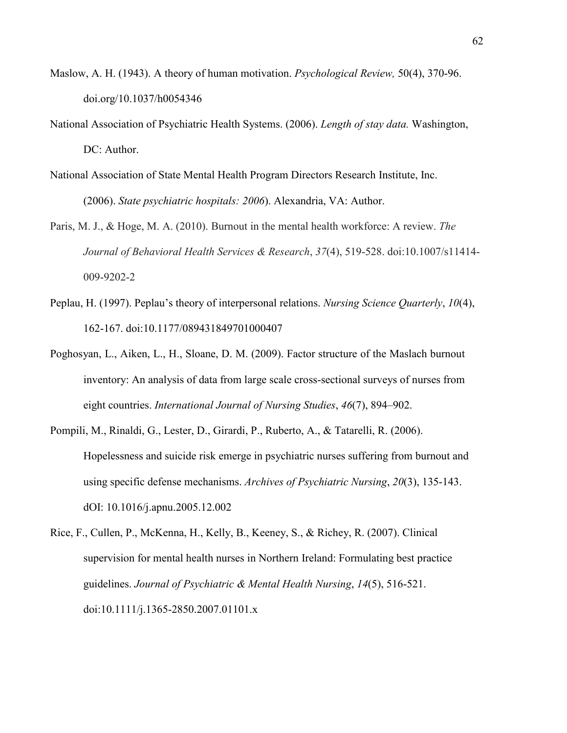- Maslow, A. H. (1943). A theory of human motivation. *Psychological Review,* 50(4), 370-96. doi.org/10.1037/h0054346
- National Association of Psychiatric Health Systems. (2006). *Length of stay data.* Washington, DC: Author.
- National Association of State Mental Health Program Directors Research Institute, Inc. (2006). *State psychiatric hospitals: 2006*). Alexandria, VA: Author.
- Paris, M. J., & Hoge, M. A. (2010). Burnout in the mental health workforce: A review. *The Journal of Behavioral Health Services & Research*, *37*(4), 519-528. doi:10.1007/s11414- 009-9202-2
- Peplau, H. (1997). Peplau's theory of interpersonal relations. *Nursing Science Quarterly*, *10*(4), 162-167. doi:10.1177/089431849701000407
- Poghosyan, L., Aiken, L., H., Sloane, D. M. (2009). Factor structure of the Maslach burnout inventory: An analysis of data from large scale cross-sectional surveys of nurses from eight countries. *International Journal of Nursing Studies*, *46*(7), 894–902.
- Pompili, M., Rinaldi, G., Lester, D., Girardi, P., Ruberto, A., & Tatarelli, R. (2006). Hopelessness and suicide risk emerge in psychiatric nurses suffering from burnout and using specific defense mechanisms. *Archives of Psychiatric Nursing*, *20*(3), 135-143. dOI: 10.1016/j.apnu.2005.12.002
- Rice, F., Cullen, P., McKenna, H., Kelly, B., Keeney, S., & Richey, R. (2007). Clinical supervision for mental health nurses in Northern Ireland: Formulating best practice guidelines. *Journal of Psychiatric & Mental Health Nursing*, *14*(5), 516-521. doi:10.1111/j.1365-2850.2007.01101.x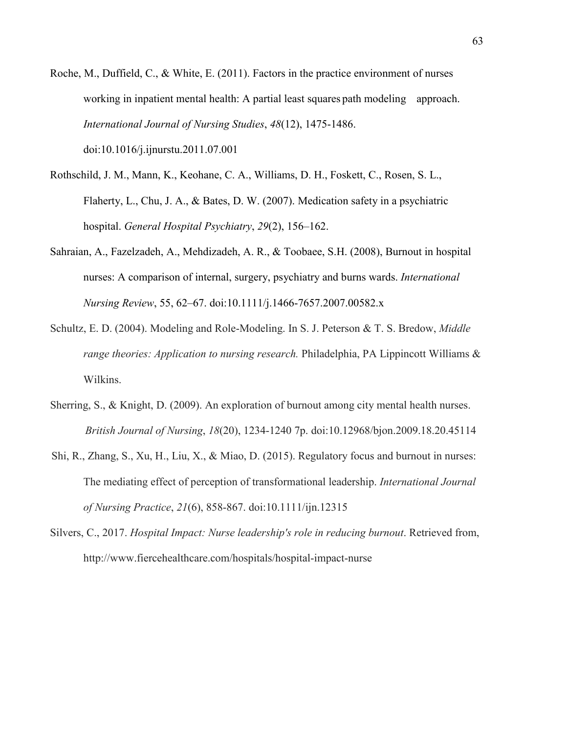Roche, M., Duffield, C., & White, E. (2011). Factors in the practice environment of nurses working in inpatient mental health: A partial least squares path modeling approach. *International Journal of Nursing Studies*, *48*(12), 1475-1486.

doi:10.1016/j.ijnurstu.2011.07.001

- Rothschild, J. M., Mann, K., Keohane, C. A., Williams, D. H., Foskett, C., Rosen, S. L., Flaherty, L., Chu, J. A., & Bates, D. W. (2007). Medication safety in a psychiatric hospital. *General Hospital Psychiatry*, *29*(2), 156–162.
- Sahraian, A., Fazelzadeh, A., Mehdizadeh, A. R., & Toobaee, S.H. (2008), Burnout in hospital nurses: A comparison of internal, surgery, psychiatry and burns wards. *International Nursing Review*, 55, 62–67. doi:10.1111/j.1466-7657.2007.00582.x
- Schultz, E. D. (2004). Modeling and Role-Modeling. In S. J. Peterson & T. S. Bredow, *Middle range theories: Application to nursing research.* Philadelphia, PA Lippincott Williams & Wilkins.
- Sherring, S., & Knight, D. (2009). An exploration of burnout among city mental health nurses. *British Journal of Nursing*, *18*(20), 1234-1240 7p. doi:10.12968/bjon.2009.18.20.45114
- Shi, R., Zhang, S., Xu, H., Liu, X., & Miao, D. (2015). Regulatory focus and burnout in nurses: The mediating effect of perception of transformational leadership. *International Journal of Nursing Practice*, *21*(6), 858-867. doi:10.1111/ijn.12315
- Silvers, C., 2017. *Hospital Impact: Nurse leadership's role in reducing burnout*. Retrieved from, <http://www.fiercehealthcare.com/hospitals/hospital-impact-nurse>